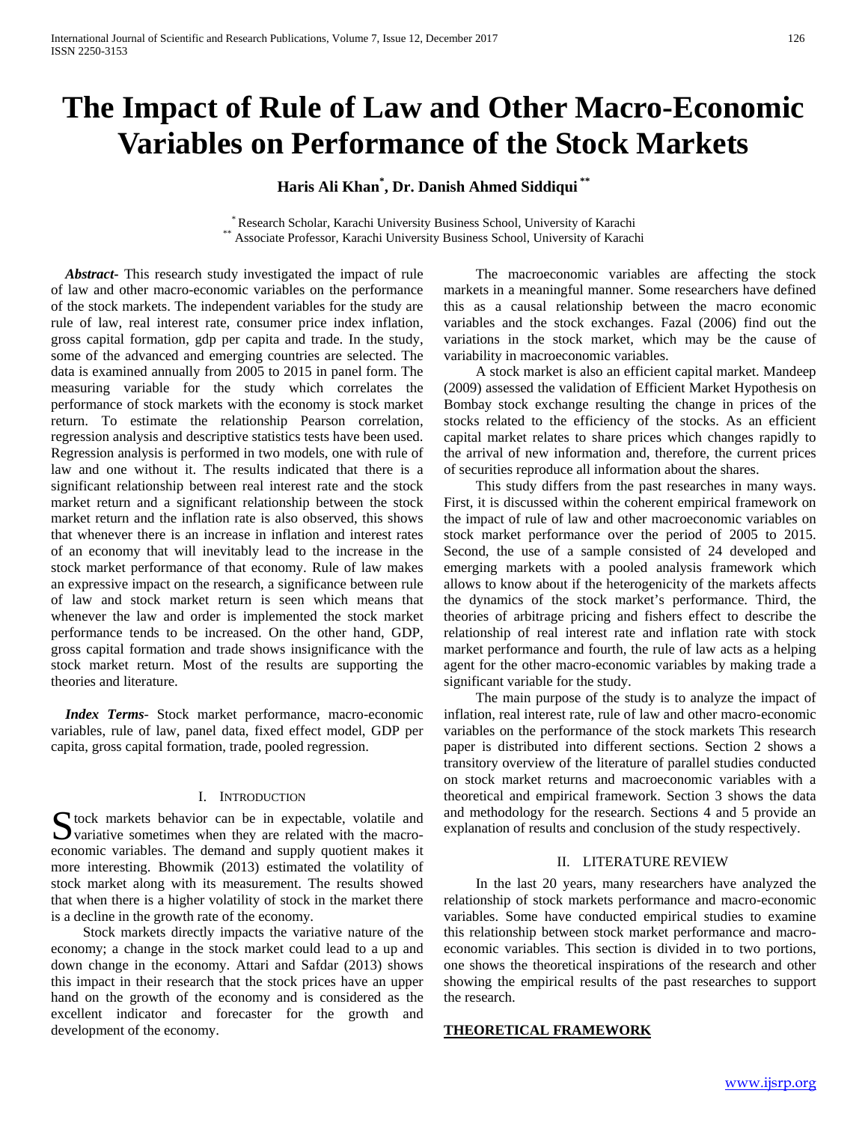# **The Impact of Rule of Law and Other Macro-Economic Variables on Performance of the Stock Markets**

**Haris Ali Khan\* , Dr. Danish Ahmed Siddiqui \*\***

\* Research Scholar, Karachi University Business School, University of Karachi \*\* Associate Professor, Karachi University Business School, University of Karachi

 *Abstract***-** This research study investigated the impact of rule of law and other macro-economic variables on the performance of the stock markets. The independent variables for the study are rule of law, real interest rate, consumer price index inflation, gross capital formation, gdp per capita and trade. In the study, some of the advanced and emerging countries are selected. The data is examined annually from 2005 to 2015 in panel form. The measuring variable for the study which correlates the performance of stock markets with the economy is stock market return. To estimate the relationship Pearson correlation, regression analysis and descriptive statistics tests have been used. Regression analysis is performed in two models, one with rule of law and one without it. The results indicated that there is a significant relationship between real interest rate and the stock market return and a significant relationship between the stock market return and the inflation rate is also observed, this shows that whenever there is an increase in inflation and interest rates of an economy that will inevitably lead to the increase in the stock market performance of that economy. Rule of law makes an expressive impact on the research, a significance between rule of law and stock market return is seen which means that whenever the law and order is implemented the stock market performance tends to be increased. On the other hand, GDP, gross capital formation and trade shows insignificance with the stock market return. Most of the results are supporting the theories and literature.

 *Index Terms*- Stock market performance, macro-economic variables, rule of law, panel data, fixed effect model, GDP per capita, gross capital formation, trade, pooled regression.

# I. INTRODUCTION

S tock markets behavior can be in expectable, volatile and variative sometimes when they are related with the macro- $\sum$  variative sometimes when they are related with the macroeconomic variables. The demand and supply quotient makes it more interesting. Bhowmik (2013) estimated the volatility of stock market along with its measurement. The results showed that when there is a higher volatility of stock in the market there is a decline in the growth rate of the economy.

 Stock markets directly impacts the variative nature of the economy; a change in the stock market could lead to a up and down change in the economy. Attari and Safdar (2013) shows this impact in their research that the stock prices have an upper hand on the growth of the economy and is considered as the excellent indicator and forecaster for the growth and development of the economy.

 The macroeconomic variables are affecting the stock markets in a meaningful manner. Some researchers have defined this as a causal relationship between the macro economic variables and the stock exchanges. Fazal (2006) find out the variations in the stock market, which may be the cause of variability in macroeconomic variables.

 A stock market is also an efficient capital market. Mandeep (2009) assessed the validation of Efficient Market Hypothesis on Bombay stock exchange resulting the change in prices of the stocks related to the efficiency of the stocks. As an efficient capital market relates to share prices which changes rapidly to the arrival of new information and, therefore, the current prices of securities reproduce all information about the shares.

 This study differs from the past researches in many ways. First, it is discussed within the coherent empirical framework on the impact of rule of law and other macroeconomic variables on stock market performance over the period of 2005 to 2015. Second, the use of a sample consisted of 24 developed and emerging markets with a pooled analysis framework which allows to know about if the heterogenicity of the markets affects the dynamics of the stock market's performance. Third, the theories of arbitrage pricing and fishers effect to describe the relationship of real interest rate and inflation rate with stock market performance and fourth, the rule of law acts as a helping agent for the other macro-economic variables by making trade a significant variable for the study.

 The main purpose of the study is to analyze the impact of inflation, real interest rate, rule of law and other macro-economic variables on the performance of the stock markets This research paper is distributed into different sections. Section 2 shows a transitory overview of the literature of parallel studies conducted on stock market returns and macroeconomic variables with a theoretical and empirical framework. Section 3 shows the data and methodology for the research. Sections 4 and 5 provide an explanation of results and conclusion of the study respectively.

## II. LITERATURE REVIEW

 In the last 20 years, many researchers have analyzed the relationship of stock markets performance and macro-economic variables. Some have conducted empirical studies to examine this relationship between stock market performance and macroeconomic variables. This section is divided in to two portions, one shows the theoretical inspirations of the research and other showing the empirical results of the past researches to support the research.

# **THEORETICAL FRAMEWORK**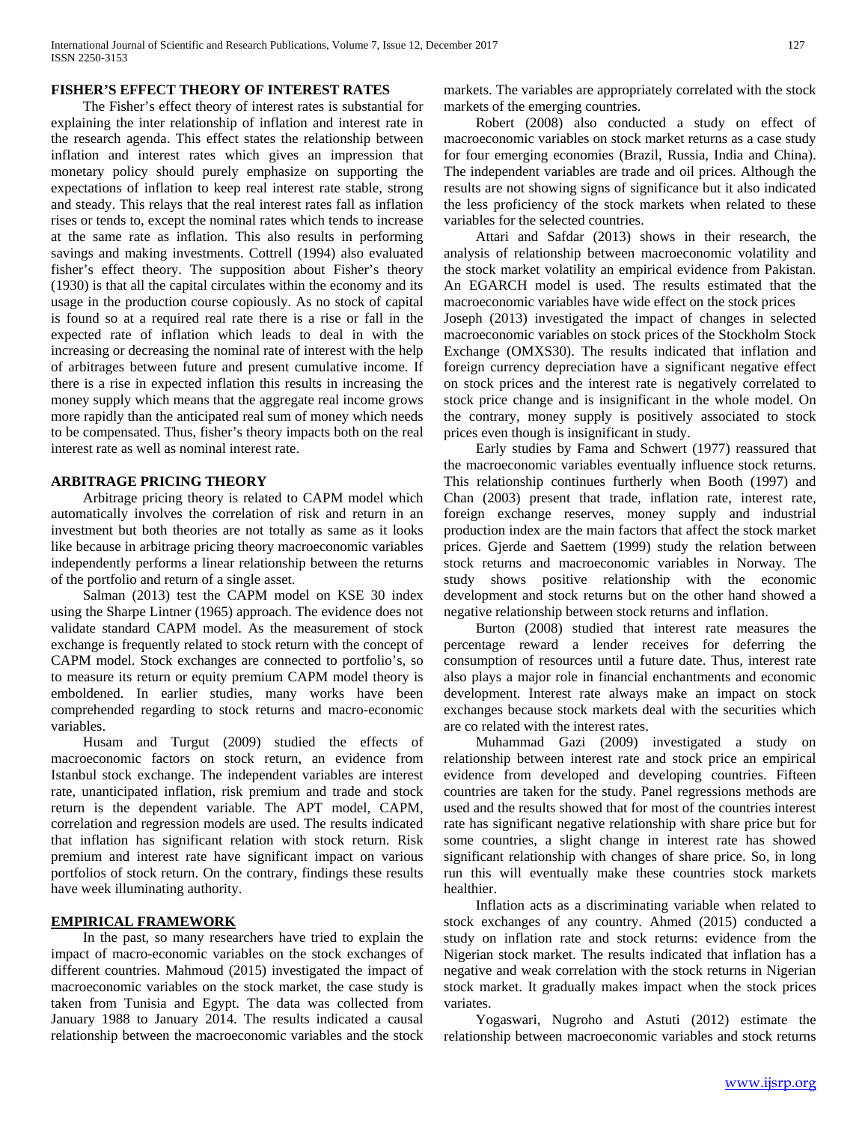# **FISHER'S EFFECT THEORY OF INTEREST RATES**

 The Fisher's effect theory of interest rates is substantial for explaining the inter relationship of inflation and interest rate in the research agenda. This effect states the relationship between inflation and interest rates which gives an impression that monetary policy should purely emphasize on supporting the expectations of inflation to keep real interest rate stable, strong and steady. This relays that the real interest rates fall as inflation rises or tends to, except the nominal rates which tends to increase at the same rate as inflation. This also results in performing savings and making investments. Cottrell (1994) also evaluated fisher's effect theory. The supposition about Fisher's theory (1930) is that all the capital circulates within the economy and its usage in the production course copiously. As no stock of capital is found so at a required real rate there is a rise or fall in the expected rate of inflation which leads to deal in with the increasing or decreasing the nominal rate of interest with the help of arbitrages between future and present cumulative income. If there is a rise in expected inflation this results in increasing the money supply which means that the aggregate real income grows more rapidly than the anticipated real sum of money which needs to be compensated. Thus, fisher's theory impacts both on the real interest rate as well as nominal interest rate.

## **ARBITRAGE PRICING THEORY**

 Arbitrage pricing theory is related to CAPM model which automatically involves the correlation of risk and return in an investment but both theories are not totally as same as it looks like because in arbitrage pricing theory macroeconomic variables independently performs a linear relationship between the returns of the portfolio and return of a single asset.

 Salman (2013) test the CAPM model on KSE 30 index using the Sharpe Lintner (1965) approach. The evidence does not validate standard CAPM model. As the measurement of stock exchange is frequently related to stock return with the concept of CAPM model. Stock exchanges are connected to portfolio's, so to measure its return or equity premium CAPM model theory is emboldened. In earlier studies, many works have been comprehended regarding to stock returns and macro-economic variables.

 Husam and Turgut (2009) studied the effects of macroeconomic factors on stock return, an evidence from Istanbul stock exchange. The independent variables are interest rate, unanticipated inflation, risk premium and trade and stock return is the dependent variable. The APT model, CAPM, correlation and regression models are used. The results indicated that inflation has significant relation with stock return. Risk premium and interest rate have significant impact on various portfolios of stock return. On the contrary, findings these results have week illuminating authority.

# **EMPIRICAL FRAMEWORK**

 In the past, so many researchers have tried to explain the impact of macro-economic variables on the stock exchanges of different countries. Mahmoud (2015) investigated the impact of macroeconomic variables on the stock market, the case study is taken from Tunisia and Egypt. The data was collected from January 1988 to January 2014. The results indicated a causal relationship between the macroeconomic variables and the stock markets. The variables are appropriately correlated with the stock markets of the emerging countries.

 Robert (2008) also conducted a study on effect of macroeconomic variables on stock market returns as a case study for four emerging economies (Brazil, Russia, India and China). The independent variables are trade and oil prices. Although the results are not showing signs of significance but it also indicated the less proficiency of the stock markets when related to these variables for the selected countries.

 Attari and Safdar (2013) shows in their research, the analysis of relationship between macroeconomic volatility and the stock market volatility an empirical evidence from Pakistan. An EGARCH model is used. The results estimated that the macroeconomic variables have wide effect on the stock prices

Joseph (2013) investigated the impact of changes in selected macroeconomic variables on stock prices of the Stockholm Stock Exchange (OMXS30). The results indicated that inflation and foreign currency depreciation have a significant negative effect on stock prices and the interest rate is negatively correlated to stock price change and is insignificant in the whole model. On the contrary, money supply is positively associated to stock prices even though is insignificant in study.

 Early studies by Fama and Schwert (1977) reassured that the macroeconomic variables eventually influence stock returns. This relationship continues furtherly when Booth (1997) and Chan (2003) present that trade, inflation rate, interest rate, foreign exchange reserves, money supply and industrial production index are the main factors that affect the stock market prices. Gjerde and Saettem (1999) study the relation between stock returns and macroeconomic variables in Norway. The study shows positive relationship with the economic development and stock returns but on the other hand showed a negative relationship between stock returns and inflation.

 Burton (2008) studied that interest rate measures the percentage reward a lender receives for deferring the consumption of resources until a future date. Thus, interest rate also plays a major role in financial enchantments and economic development. Interest rate always make an impact on stock exchanges because stock markets deal with the securities which are co related with the interest rates.

 Muhammad Gazi (2009) investigated a study on relationship between interest rate and stock price an empirical evidence from developed and developing countries. Fifteen countries are taken for the study. Panel regressions methods are used and the results showed that for most of the countries interest rate has significant negative relationship with share price but for some countries, a slight change in interest rate has showed significant relationship with changes of share price. So, in long run this will eventually make these countries stock markets healthier.

 Inflation acts as a discriminating variable when related to stock exchanges of any country. Ahmed (2015) conducted a study on inflation rate and stock returns: evidence from the Nigerian stock market. The results indicated that inflation has a negative and weak correlation with the stock returns in Nigerian stock market. It gradually makes impact when the stock prices variates.

 Yogaswari, Nugroho and Astuti (2012) estimate the relationship between macroeconomic variables and stock returns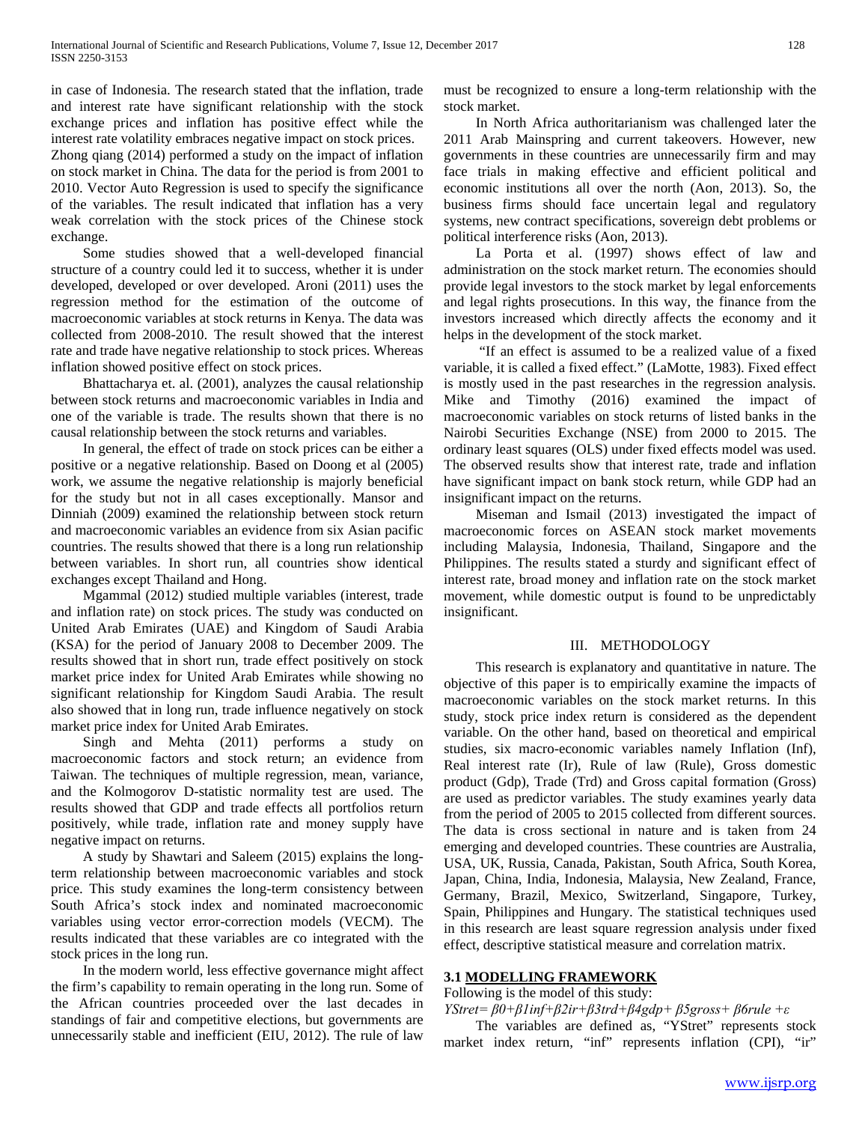in case of Indonesia. The research stated that the inflation, trade and interest rate have significant relationship with the stock exchange prices and inflation has positive effect while the interest rate volatility embraces negative impact on stock prices.

Zhong qiang (2014) performed a study on the impact of inflation on stock market in China. The data for the period is from 2001 to 2010. Vector Auto Regression is used to specify the significance of the variables. The result indicated that inflation has a very weak correlation with the stock prices of the Chinese stock exchange.

 Some studies showed that a well-developed financial structure of a country could led it to success, whether it is under developed, developed or over developed. Aroni (2011) uses the regression method for the estimation of the outcome of macroeconomic variables at stock returns in Kenya. The data was collected from 2008-2010. The result showed that the interest rate and trade have negative relationship to stock prices. Whereas inflation showed positive effect on stock prices.

 Bhattacharya et. al. (2001), analyzes the causal relationship between stock returns and macroeconomic variables in India and one of the variable is trade. The results shown that there is no causal relationship between the stock returns and variables.

 In general, the effect of trade on stock prices can be either a positive or a negative relationship. Based on Doong et al (2005) work, we assume the negative relationship is majorly beneficial for the study but not in all cases exceptionally. Mansor and Dinniah (2009) examined the relationship between stock return and macroeconomic variables an evidence from six Asian pacific countries. The results showed that there is a long run relationship between variables. In short run, all countries show identical exchanges except Thailand and Hong.

 Mgammal (2012) studied multiple variables (interest, trade and inflation rate) on stock prices. The study was conducted on United Arab Emirates (UAE) and Kingdom of Saudi Arabia (KSA) for the period of January 2008 to December 2009. The results showed that in short run, trade effect positively on stock market price index for United Arab Emirates while showing no significant relationship for Kingdom Saudi Arabia. The result also showed that in long run, trade influence negatively on stock market price index for United Arab Emirates.

 Singh and Mehta (2011) performs a study on macroeconomic factors and stock return; an evidence from Taiwan. The techniques of multiple regression, mean, variance, and the Kolmogorov D-statistic normality test are used. The results showed that GDP and trade effects all portfolios return positively, while trade, inflation rate and money supply have negative impact on returns.

 A study by Shawtari and Saleem (2015) explains the longterm relationship between macroeconomic variables and stock price. This study examines the long-term consistency between South Africa's stock index and nominated macroeconomic variables using vector error-correction models (VECM). The results indicated that these variables are co integrated with the stock prices in the long run.

 In the modern world, less effective governance might affect the firm's capability to remain operating in the long run. Some of the African countries proceeded over the last decades in standings of fair and competitive elections, but governments are unnecessarily stable and inefficient (EIU, 2012). The rule of law

must be recognized to ensure a long-term relationship with the stock market.

 In North Africa authoritarianism was challenged later the 2011 Arab Mainspring and current takeovers. However, new governments in these countries are unnecessarily firm and may face trials in making effective and efficient political and economic institutions all over the north (Aon, 2013). So, the business firms should face uncertain legal and regulatory systems, new contract specifications, sovereign debt problems or political interference risks (Aon, 2013).

 La Porta et al. (1997) shows effect of law and administration on the stock market return. The economies should provide legal investors to the stock market by legal enforcements and legal rights prosecutions. In this way, the finance from the investors increased which directly affects the economy and it helps in the development of the stock market.

 "If an effect is assumed to be a realized value of a fixed variable, it is called a fixed effect." (LaMotte, 1983). Fixed effect is mostly used in the past researches in the regression analysis. Mike and Timothy (2016) examined the impact of macroeconomic variables on stock returns of listed banks in the Nairobi Securities Exchange (NSE) from 2000 to 2015. The ordinary least squares (OLS) under fixed effects model was used. The observed results show that interest rate, trade and inflation have significant impact on bank stock return, while GDP had an insignificant impact on the returns.

 Miseman and Ismail (2013) investigated the impact of macroeconomic forces on ASEAN stock market movements including Malaysia, Indonesia, Thailand, Singapore and the Philippines. The results stated a sturdy and significant effect of interest rate, broad money and inflation rate on the stock market movement, while domestic output is found to be unpredictably insignificant.

# III. METHODOLOGY

 This research is explanatory and quantitative in nature. The objective of this paper is to empirically examine the impacts of macroeconomic variables on the stock market returns. In this study, stock price index return is considered as the dependent variable. On the other hand, based on theoretical and empirical studies, six macro-economic variables namely Inflation (Inf), Real interest rate (Ir), Rule of law (Rule), Gross domestic product (Gdp), Trade (Trd) and Gross capital formation (Gross) are used as predictor variables. The study examines yearly data from the period of 2005 to 2015 collected from different sources. The data is cross sectional in nature and is taken from 24 emerging and developed countries. These countries are Australia, USA, UK, Russia, Canada, Pakistan, South Africa, South Korea, Japan, China, India, Indonesia, Malaysia, New Zealand, France, Germany, Brazil, Mexico, Switzerland, Singapore, Turkey, Spain, Philippines and Hungary. The statistical techniques used in this research are least square regression analysis under fixed effect, descriptive statistical measure and correlation matrix.

## **3.1 MODELLING FRAMEWORK**

Following is the model of this study:

*YStret= β0+β1inf+β2ir+β3trd+β4gdp+ β5gross+ β6rule +ε*

 The variables are defined as, "YStret" represents stock market index return, "inf" represents inflation (CPI), "ir"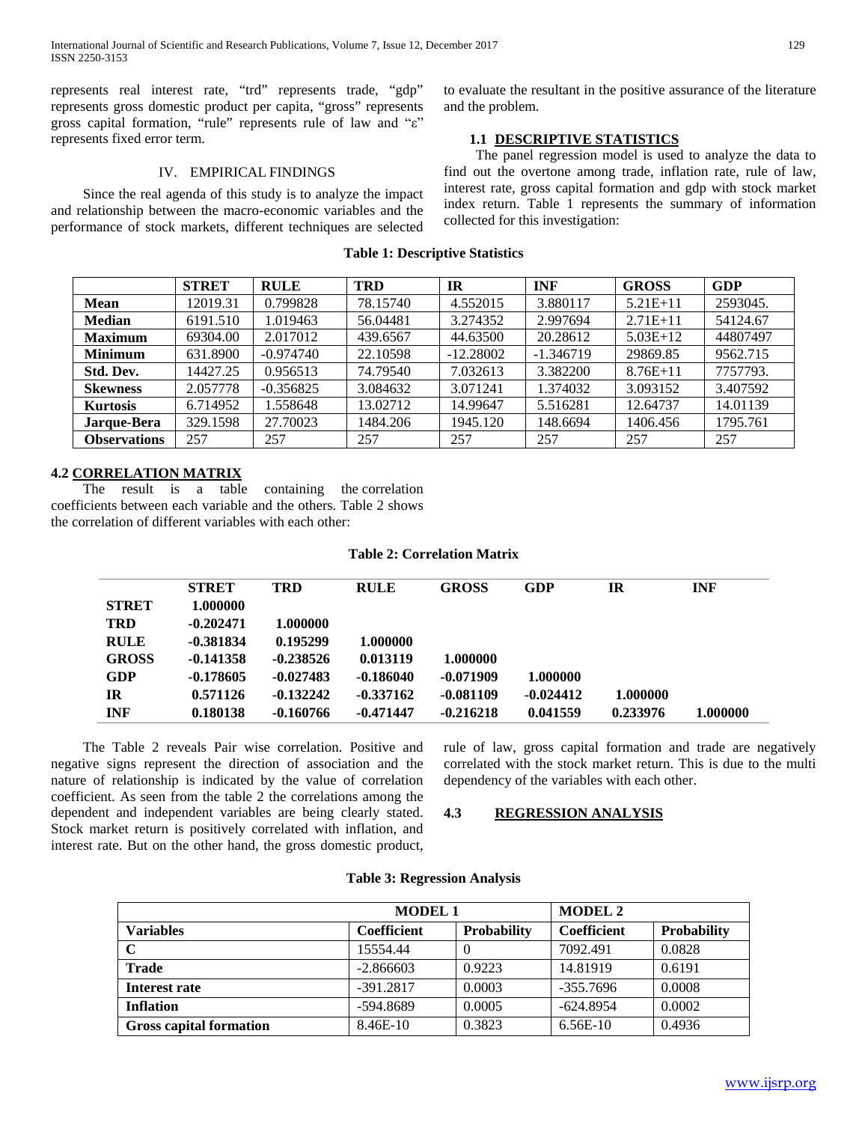represents real interest rate, "trd" represents trade, "gdp" represents gross domestic product per capita, "gross" represents gross capital formation, "rule" represents rule of law and "ε" represents fixed error term.

# IV. EMPIRICAL FINDINGS

 Since the real agenda of this study is to analyze the impact and relationship between the macro-economic variables and the performance of stock markets, different techniques are selected

**Table 1: Descriptive Statistics**

to evaluate the resultant in the positive assurance of the literature and the problem.

# **1.1 DESCRIPTIVE STATISTICS**

 The panel regression model is used to analyze the data to find out the overtone among trade, inflation rate, rule of law, interest rate, gross capital formation and gdp with stock market index return. Table 1 represents the summary of information collected for this investigation:

|                     | <b>STRET</b> | <b>RULE</b> | <b>TRD</b> | IR          | <b>INF</b>  | <b>GROSS</b> | <b>GDP</b> |
|---------------------|--------------|-------------|------------|-------------|-------------|--------------|------------|
| <b>Mean</b>         | 12019.31     | 0.799828    | 78.15740   | 4.552015    | 3.880117    | $5.21E+11$   | 2593045.   |
| <b>Median</b>       | 6191.510     | 1.019463    | 56.04481   | 3.274352    | 2.997694    | $2.71E+11$   | 54124.67   |
| <b>Maximum</b>      | 69304.00     | 2.017012    | 439.6567   | 44.63500    | 20.28612    | $5.03E+12$   | 44807497   |
| <b>Minimum</b>      | 631.8900     | $-0.974740$ | 22.10598   | $-12.28002$ | $-1.346719$ | 29869.85     | 9562.715   |
| Std. Dev.           | 14427.25     | 0.956513    | 74.79540   | 7.032613    | 3.382200    | $8.76E+11$   | 7757793.   |
| <b>Skewness</b>     | 2.057778     | $-0.356825$ | 3.084632   | 3.071241    | 1.374032    | 3.093152     | 3.407592   |
| <b>Kurtosis</b>     | 6.714952     | 1.558648    | 13.02712   | 14.99647    | 5.516281    | 12.64737     | 14.01139   |
| Jarque-Bera         | 329.1598     | 27.70023    | 1484.206   | 1945.120    | 148.6694    | 1406.456     | 1795.761   |
| <b>Observations</b> | 257          | 257         | 257        | 257         | 257         | 257          | 257        |
|                     |              |             |            |             |             |              |            |

# **4.2 CORRELATION MATRIX**

 The result is a table containing the correlation coefficients between each variable and the others. Table 2 shows the correlation of different variables with each other:

# **Table 2: Correlation Matrix**

|              | <b>STRET</b> | TRD         | <b>RULE</b> | <b>GROSS</b> | <b>GDP</b>  | IR       | <b>INF</b> |
|--------------|--------------|-------------|-------------|--------------|-------------|----------|------------|
| <b>STRET</b> | 1.000000     |             |             |              |             |          |            |
| <b>TRD</b>   | $-0.202471$  | 1.000000    |             |              |             |          |            |
| <b>RULE</b>  | $-0.381834$  | 0.195299    | 1.000000    |              |             |          |            |
| <b>GROSS</b> | $-0.141358$  | $-0.238526$ | 0.013119    | 1.000000     |             |          |            |
| <b>GDP</b>   | $-0.178605$  | $-0.027483$ | $-0.186040$ | $-0.071909$  | 1.000000    |          |            |
| IR           | 0.571126     | $-0.132242$ | $-0.337162$ | $-0.081109$  | $-0.024412$ | 1.000000 |            |
| <b>INF</b>   | 0.180138     | $-0.160766$ | $-0.471447$ | $-0.216218$  | 0.041559    | 0.233976 | 1.000000   |

 The Table 2 reveals Pair wise correlation. Positive and negative signs represent the direction of association and the nature of relationship is indicated by the value of correlation coefficient. As seen from the table 2 the correlations among the dependent and independent variables are being clearly stated. Stock market return is positively correlated with inflation, and interest rate. But on the other hand, the gross domestic product, rule of law, gross capital formation and trade are negatively correlated with the stock market return. This is due to the multi dependency of the variables with each other.

## **4.3 REGRESSION ANALYSIS**

|                                | <b>MODEL 1</b>     |                    | <b>MODEL 2</b>     |                    |  |
|--------------------------------|--------------------|--------------------|--------------------|--------------------|--|
| <b>Variables</b>               | <b>Coefficient</b> | <b>Probability</b> | <b>Coefficient</b> | <b>Probability</b> |  |
| $\mathbf C$                    | 15554.44           | 0                  | 7092.491           | 0.0828             |  |
| <b>Trade</b>                   | $-2.866603$        | 0.9223             | 14.81919           | 0.6191             |  |
| Interest rate                  | $-391.2817$        | 0.0003             | $-355.7696$        | 0.0008             |  |
| <b>Inflation</b>               | $-594.8689$        | 0.0005             | $-624.8954$        | 0.0002             |  |
| <b>Gross capital formation</b> | 8.46E-10           | 0.3823             | $6.56E-10$         | 0.4936             |  |

# **Table 3: Regression Analysis**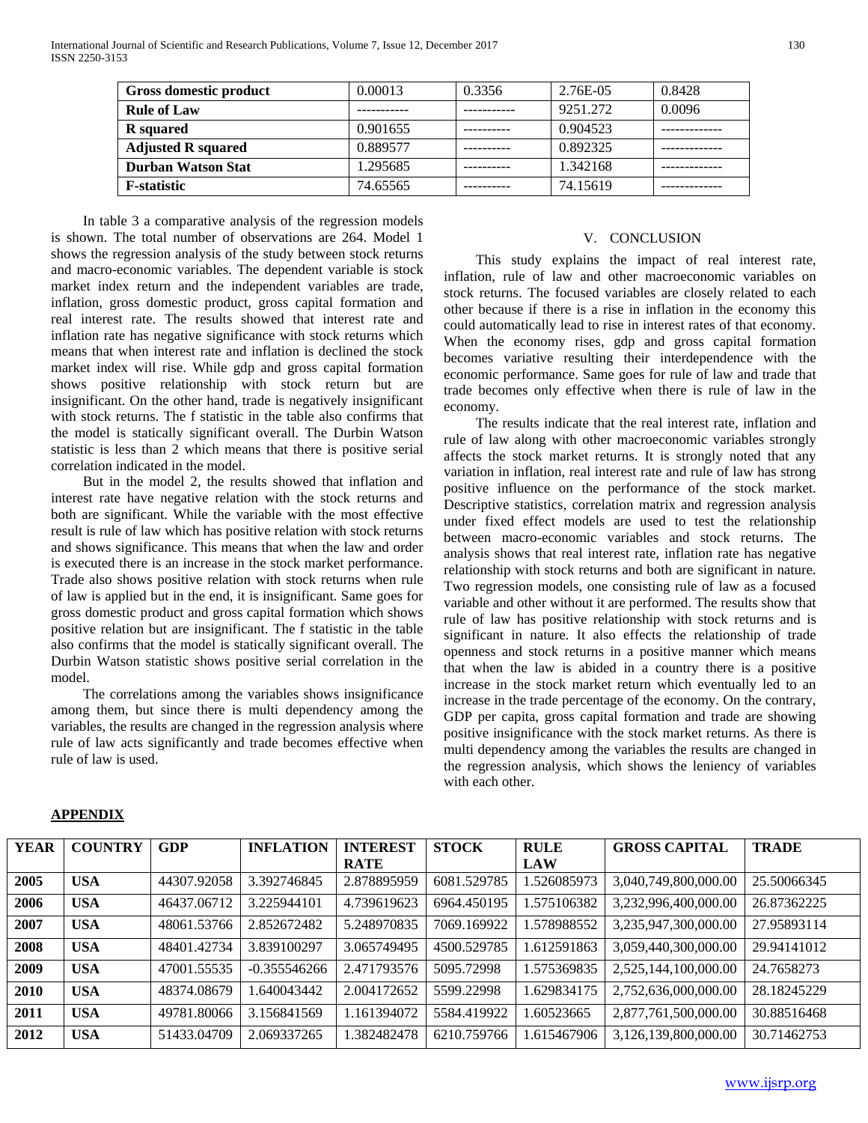| Gross domestic product    | 0.00013  | 0.3356 | 2.76E-05 | 0.8428 |
|---------------------------|----------|--------|----------|--------|
| <b>Rule of Law</b>        |          |        | 9251.272 | 0.0096 |
| <b>R</b> squared          | 0.901655 |        | 0.904523 |        |
| <b>Adjusted R squared</b> | 0.889577 |        | 0.892325 |        |
| <b>Durban Watson Stat</b> | 1.295685 |        | 1.342168 |        |
| <b>F-statistic</b>        | 74.65565 |        | 74.15619 |        |

 In table 3 a comparative analysis of the regression models is shown. The total number of observations are 264. Model 1 shows the regression analysis of the study between stock returns and macro-economic variables. The dependent variable is stock market index return and the independent variables are trade, inflation, gross domestic product, gross capital formation and real interest rate. The results showed that interest rate and inflation rate has negative significance with stock returns which means that when interest rate and inflation is declined the stock market index will rise. While gdp and gross capital formation shows positive relationship with stock return but are insignificant. On the other hand, trade is negatively insignificant with stock returns. The f statistic in the table also confirms that the model is statically significant overall. The Durbin Watson statistic is less than 2 which means that there is positive serial correlation indicated in the model.

 But in the model 2, the results showed that inflation and interest rate have negative relation with the stock returns and both are significant. While the variable with the most effective result is rule of law which has positive relation with stock returns and shows significance. This means that when the law and order is executed there is an increase in the stock market performance. Trade also shows positive relation with stock returns when rule of law is applied but in the end, it is insignificant. Same goes for gross domestic product and gross capital formation which shows positive relation but are insignificant. The f statistic in the table also confirms that the model is statically significant overall. The Durbin Watson statistic shows positive serial correlation in the model.

 The correlations among the variables shows insignificance among them, but since there is multi dependency among the variables, the results are changed in the regression analysis where rule of law acts significantly and trade becomes effective when rule of law is used.

# V. CONCLUSION

 This study explains the impact of real interest rate, inflation, rule of law and other macroeconomic variables on stock returns. The focused variables are closely related to each other because if there is a rise in inflation in the economy this could automatically lead to rise in interest rates of that economy. When the economy rises, gdp and gross capital formation becomes variative resulting their interdependence with the economic performance. Same goes for rule of law and trade that trade becomes only effective when there is rule of law in the economy.

 The results indicate that the real interest rate, inflation and rule of law along with other macroeconomic variables strongly affects the stock market returns. It is strongly noted that any variation in inflation, real interest rate and rule of law has strong positive influence on the performance of the stock market. Descriptive statistics, correlation matrix and regression analysis under fixed effect models are used to test the relationship between macro-economic variables and stock returns. The analysis shows that real interest rate, inflation rate has negative relationship with stock returns and both are significant in nature. Two regression models, one consisting rule of law as a focused variable and other without it are performed. The results show that rule of law has positive relationship with stock returns and is significant in nature. It also effects the relationship of trade openness and stock returns in a positive manner which means that when the law is abided in a country there is a positive increase in the stock market return which eventually led to an increase in the trade percentage of the economy. On the contrary, GDP per capita, gross capital formation and trade are showing positive insignificance with the stock market returns. As there is multi dependency among the variables the results are changed in the regression analysis, which shows the leniency of variables with each other.

| <b>YEAR</b> | <b>COUNTRY</b> | GDP         | <b>INFLATION</b> | <b>INTEREST</b> | <b>STOCK</b> | <b>RULE</b> | <b>GROSS CAPITAL</b> | <b>TRADE</b> |
|-------------|----------------|-------------|------------------|-----------------|--------------|-------------|----------------------|--------------|
|             |                |             |                  | <b>RATE</b>     |              | <b>LAW</b>  |                      |              |
| 2005        | <b>USA</b>     | 44307.92058 | 3.392746845      | 2.878895959     | 6081.529785  | 1.526085973 | 3,040,749,800,000.00 | 25.50066345  |
| 2006        | <b>USA</b>     | 46437.06712 | 3.225944101      | 4.739619623     | 6964.450195  | 1.575106382 | 3,232,996,400,000.00 | 26.87362225  |
| 2007        | <b>USA</b>     | 48061.53766 | 2.852672482      | 5.248970835     | 7069.169922  | 1.578988552 | 3,235,947,300,000.00 | 27.95893114  |
| 2008        | <b>USA</b>     | 48401.42734 | 3.839100297      | 3.065749495     | 4500.529785  | 1.612591863 | 3,059,440,300,000.00 | 29.94141012  |
| 2009        | <b>USA</b>     | 47001.55535 | $-0.355546266$   | 2.471793576     | 5095.72998   | 1.575369835 | 2,525,144,100,000.00 | 24.7658273   |
| 2010        | <b>USA</b>     | 48374.08679 | .640043442       | 2.004172652     | 5599.22998   | 1.629834175 | 2,752,636,000,000.00 | 28.18245229  |
| 2011        | <b>USA</b>     | 49781.80066 | 3.156841569      | 1.161394072     | 5584.419922  | .60523665   | 2,877,761,500,000.00 | 30.88516468  |
| 2012        | <b>USA</b>     | 51433.04709 | 2.069337265      | 1.382482478     | 6210.759766  | 1.615467906 | 3,126,139,800,000.00 | 30.71462753  |

## **APPENDIX**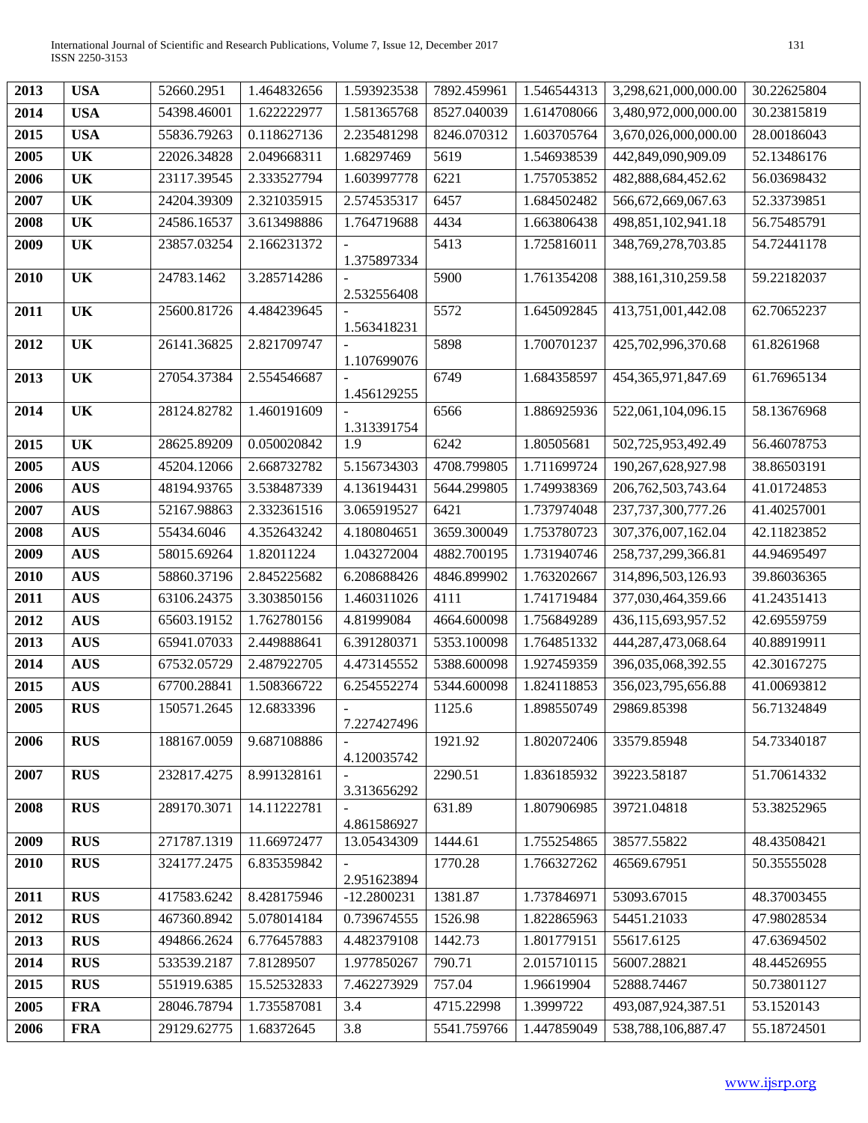| 2013 | <b>USA</b> | 52660.2951  | 1.464832656 | 1.593923538   | 7892.459961 | 1.546544313 | 3,298,621,000,000.00   | 30.22625804 |
|------|------------|-------------|-------------|---------------|-------------|-------------|------------------------|-------------|
| 2014 | <b>USA</b> | 54398.46001 | 1.622222977 | 1.581365768   | 8527.040039 | 1.614708066 | 3,480,972,000,000.00   | 30.23815819 |
| 2015 | <b>USA</b> | 55836.79263 | 0.118627136 | 2.235481298   | 8246.070312 | 1.603705764 | 3,670,026,000,000.00   | 28.00186043 |
| 2005 | <b>UK</b>  | 22026.34828 | 2.049668311 | 1.68297469    | 5619        | 1.546938539 | 442,849,090,909.09     | 52.13486176 |
| 2006 | <b>UK</b>  | 23117.39545 | 2.333527794 | 1.603997778   | 6221        | 1.757053852 | 482,888,684,452.62     | 56.03698432 |
| 2007 | <b>UK</b>  | 24204.39309 | 2.321035915 | 2.574535317   | 6457        | 1.684502482 | 566,672,669,067.63     | 52.33739851 |
| 2008 | <b>UK</b>  | 24586.16537 | 3.613498886 | 1.764719688   | 4434        | 1.663806438 | 498,851,102,941.18     | 56.75485791 |
| 2009 | UK         | 23857.03254 | 2.166231372 | 1.375897334   | 5413        | 1.725816011 | 348,769,278,703.85     | 54.72441178 |
| 2010 | UK         | 24783.1462  | 3.285714286 | 2.532556408   | 5900        | 1.761354208 | 388, 161, 310, 259. 58 | 59.22182037 |
| 2011 | <b>UK</b>  | 25600.81726 | 4.484239645 | 1.563418231   | 5572        | 1.645092845 | 413,751,001,442.08     | 62.70652237 |
| 2012 | <b>UK</b>  | 26141.36825 | 2.821709747 | 1.107699076   | 5898        | 1.700701237 | 425,702,996,370.68     | 61.8261968  |
| 2013 | <b>UK</b>  | 27054.37384 | 2.554546687 | 1.456129255   | 6749        | 1.684358597 | 454, 365, 971, 847. 69 | 61.76965134 |
| 2014 | <b>UK</b>  | 28124.82782 | 1.460191609 | 1.313391754   | 6566        | 1.886925936 | 522,061,104,096.15     | 58.13676968 |
| 2015 | <b>UK</b>  | 28625.89209 | 0.050020842 | 1.9           | 6242        | 1.80505681  | 502,725,953,492.49     | 56.46078753 |
| 2005 | <b>AUS</b> | 45204.12066 | 2.668732782 | 5.156734303   | 4708.799805 | 1.711699724 | 190,267,628,927.98     | 38.86503191 |
| 2006 | <b>AUS</b> | 48194.93765 | 3.538487339 | 4.136194431   | 5644.299805 | 1.749938369 | 206,762,503,743.64     | 41.01724853 |
| 2007 | <b>AUS</b> | 52167.98863 | 2.332361516 | 3.065919527   | 6421        | 1.737974048 | 237,737,300,777.26     | 41.40257001 |
| 2008 | <b>AUS</b> | 55434.6046  | 4.352643242 | 4.180804651   | 3659.300049 | 1.753780723 | 307, 376, 007, 162.04  | 42.11823852 |
| 2009 | <b>AUS</b> | 58015.69264 | 1.82011224  | 1.043272004   | 4882.700195 | 1.731940746 | 258,737,299,366.81     | 44.94695497 |
| 2010 | <b>AUS</b> | 58860.37196 | 2.845225682 | 6.208688426   | 4846.899902 | 1.763202667 | 314,896,503,126.93     | 39.86036365 |
| 2011 | <b>AUS</b> | 63106.24375 | 3.303850156 | 1.460311026   | 4111        | 1.741719484 | 377,030,464,359.66     | 41.24351413 |
| 2012 | <b>AUS</b> | 65603.19152 | 1.762780156 | 4.81999084    | 4664.600098 | 1.756849289 | 436,115,693,957.52     | 42.69559759 |
| 2013 | <b>AUS</b> | 65941.07033 | 2.449888641 | 6.391280371   | 5353.100098 | 1.764851332 | 444,287,473,068.64     | 40.88919911 |
| 2014 | <b>AUS</b> | 67532.05729 | 2.487922705 | 4.473145552   | 5388.600098 | 1.927459359 | 396,035,068,392.55     | 42.30167275 |
| 2015 | <b>AUS</b> | 67700.28841 | 1.508366722 | 6.254552274   | 5344.600098 | 1.824118853 | 356,023,795,656.88     | 41.00693812 |
| 2005 | <b>RUS</b> | 150571.2645 | 12.6833396  | 7.227427496   | 1125.6      | 1.898550749 | 29869.85398            | 56.71324849 |
| 2006 | <b>RUS</b> | 188167.0059 | 9.687108886 | 4.120035742   | 1921.92     | 1.802072406 | 33579.85948            | 54.73340187 |
| 2007 | <b>RUS</b> | 232817.4275 | 8.991328161 | 3.313656292   | 2290.51     | 1.836185932 | 39223.58187            | 51.70614332 |
| 2008 | <b>RUS</b> | 289170.3071 | 14.11222781 | 4.861586927   | 631.89      | 1.807906985 | 39721.04818            | 53.38252965 |
| 2009 | <b>RUS</b> | 271787.1319 | 11.66972477 | 13.05434309   | 1444.61     | 1.755254865 | 38577.55822            | 48.43508421 |
| 2010 | <b>RUS</b> | 324177.2475 | 6.835359842 | 2.951623894   | 1770.28     | 1.766327262 | 46569.67951            | 50.35555028 |
| 2011 | <b>RUS</b> | 417583.6242 | 8.428175946 | $-12.2800231$ | 1381.87     | 1.737846971 | 53093.67015            | 48.37003455 |
| 2012 | <b>RUS</b> | 467360.8942 | 5.078014184 | 0.739674555   | 1526.98     | 1.822865963 | 54451.21033            | 47.98028534 |
| 2013 | <b>RUS</b> | 494866.2624 | 6.776457883 | 4.482379108   | 1442.73     | 1.801779151 | 55617.6125             | 47.63694502 |
| 2014 | <b>RUS</b> | 533539.2187 | 7.81289507  | 1.977850267   | 790.71      | 2.015710115 | 56007.28821            | 48.44526955 |
| 2015 | <b>RUS</b> | 551919.6385 | 15.52532833 | 7.462273929   | 757.04      | 1.96619904  | 52888.74467            | 50.73801127 |
| 2005 | <b>FRA</b> | 28046.78794 | 1.735587081 | 3.4           | 4715.22998  | 1.3999722   | 493,087,924,387.51     | 53.1520143  |
| 2006 | <b>FRA</b> | 29129.62775 | 1.68372645  | 3.8           | 5541.759766 | 1.447859049 | 538,788,106,887.47     | 55.18724501 |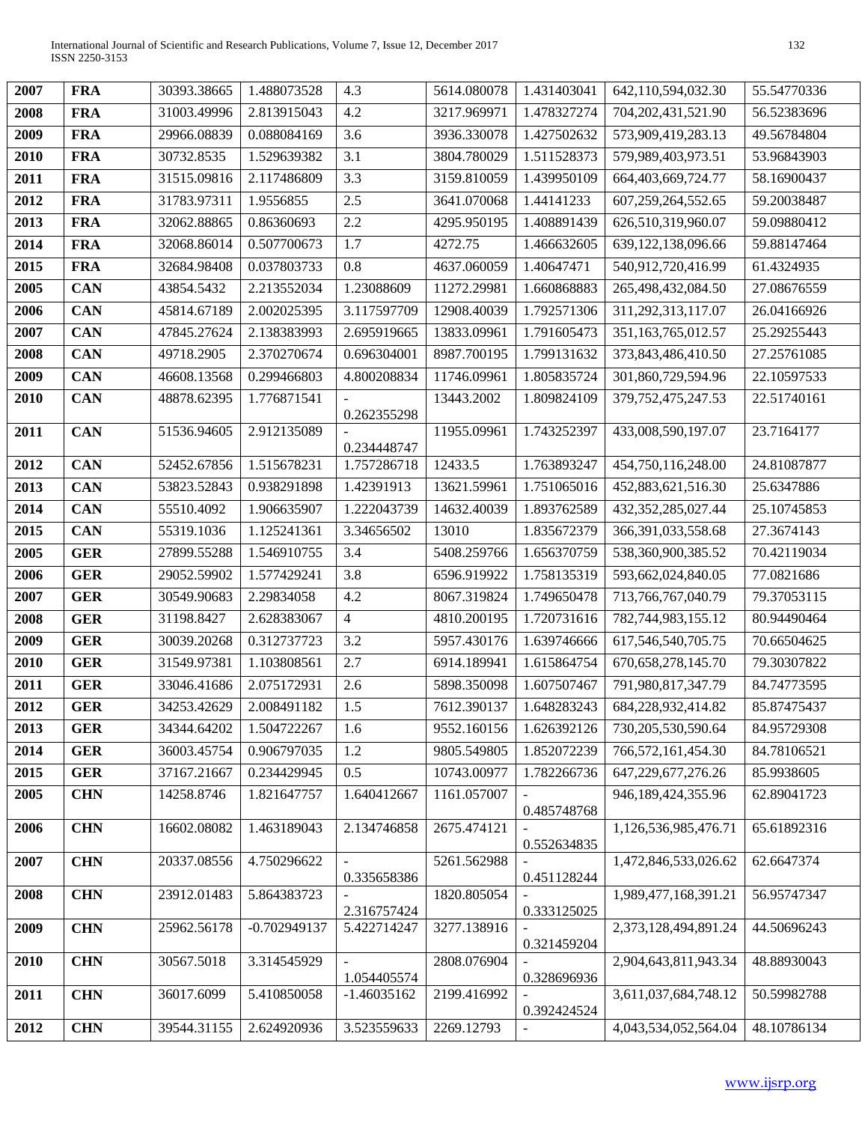| 2007 | <b>FRA</b> | 30393.38665 | 1.488073528    | 4.3            | 5614.080078 | 1.431403041    | 642,110,594,032.30     | 55.54770336 |
|------|------------|-------------|----------------|----------------|-------------|----------------|------------------------|-------------|
| 2008 | <b>FRA</b> | 31003.49996 | 2.813915043    | 4.2            | 3217.969971 | 1.478327274    | 704, 202, 431, 521. 90 | 56.52383696 |
| 2009 | <b>FRA</b> | 29966.08839 | 0.088084169    | 3.6            | 3936.330078 | 1.427502632    | 573,909,419,283.13     | 49.56784804 |
| 2010 | <b>FRA</b> | 30732.8535  | 1.529639382    | 3.1            | 3804.780029 | 1.511528373    | 579,989,403,973.51     | 53.96843903 |
| 2011 | <b>FRA</b> | 31515.09816 | 2.117486809    | 3.3            | 3159.810059 | 1.439950109    | 664,403,669,724.77     | 58.16900437 |
| 2012 | <b>FRA</b> | 31783.97311 | 1.9556855      | 2.5            | 3641.070068 | 1.44141233     | 607,259,264,552.65     | 59.20038487 |
| 2013 | <b>FRA</b> | 32062.88865 | 0.86360693     | 2.2            | 4295.950195 | 1.408891439    | 626,510,319,960.07     | 59.09880412 |
| 2014 | <b>FRA</b> | 32068.86014 | 0.507700673    | 1.7            | 4272.75     | 1.466632605    | 639,122,138,096.66     | 59.88147464 |
| 2015 | <b>FRA</b> | 32684.98408 | 0.037803733    | 0.8            | 4637.060059 | 1.40647471     | 540,912,720,416.99     | 61.4324935  |
| 2005 | <b>CAN</b> | 43854.5432  | 2.213552034    | 1.23088609     | 11272.29981 | 1.660868883    | 265,498,432,084.50     | 27.08676559 |
| 2006 | <b>CAN</b> | 45814.67189 | 2.002025395    | 3.117597709    | 12908.40039 | 1.792571306    | 311,292,313,117.07     | 26.04166926 |
| 2007 | <b>CAN</b> | 47845.27624 | 2.138383993    | 2.695919665    | 13833.09961 | 1.791605473    | 351,163,765,012.57     | 25.29255443 |
| 2008 | <b>CAN</b> | 49718.2905  | 2.370270674    | 0.696304001    | 8987.700195 | 1.799131632    | 373,843,486,410.50     | 27.25761085 |
| 2009 | <b>CAN</b> | 46608.13568 | 0.299466803    | 4.800208834    | 11746.09961 | 1.805835724    | 301,860,729,594.96     | 22.10597533 |
| 2010 | CAN        | 48878.62395 | 1.776871541    |                | 13443.2002  | 1.809824109    | 379, 752, 475, 247.53  | 22.51740161 |
| 2011 | <b>CAN</b> | 51536.94605 | 2.912135089    | 0.262355298    | 11955.09961 | 1.743252397    | 433,008,590,197.07     | 23.7164177  |
|      |            |             |                | 0.234448747    |             |                |                        |             |
| 2012 | <b>CAN</b> | 52452.67856 | 1.515678231    | 1.757286718    | 12433.5     | 1.763893247    | 454,750,116,248.00     | 24.81087877 |
| 2013 | <b>CAN</b> | 53823.52843 | 0.938291898    | 1.42391913     | 13621.59961 | 1.751065016    | 452,883,621,516.30     | 25.6347886  |
| 2014 | <b>CAN</b> | 55510.4092  | 1.906635907    | 1.222043739    | 14632.40039 | 1.893762589    | 432, 352, 285, 027. 44 | 25.10745853 |
| 2015 | <b>CAN</b> | 55319.1036  | 1.125241361    | 3.34656502     | 13010       | 1.835672379    | 366, 391, 033, 558. 68 | 27.3674143  |
| 2005 | <b>GER</b> | 27899.55288 | 1.546910755    | 3.4            | 5408.259766 | 1.656370759    | 538,360,900,385.52     | 70.42119034 |
| 2006 | <b>GER</b> | 29052.59902 | 1.577429241    | 3.8            | 6596.919922 | 1.758135319    | 593,662,024,840.05     | 77.0821686  |
| 2007 | <b>GER</b> | 30549.90683 | 2.29834058     | 4.2            | 8067.319824 | 1.749650478    | 713,766,767,040.79     | 79.37053115 |
| 2008 | <b>GER</b> | 31198.8427  | 2.628383067    | $\overline{4}$ | 4810.200195 | 1.720731616    | 782,744,983,155.12     | 80.94490464 |
| 2009 | <b>GER</b> | 30039.20268 | 0.312737723    | 3.2            | 5957.430176 | 1.639746666    | 617,546,540,705.75     | 70.66504625 |
| 2010 | <b>GER</b> | 31549.97381 | 1.103808561    | 2.7            | 6914.189941 | 1.615864754    | 670, 658, 278, 145. 70 | 79.30307822 |
| 2011 | <b>GER</b> | 33046.41686 | 2.075172931    | 2.6            | 5898.350098 | 1.607507467    | 791,980,817,347.79     | 84.74773595 |
| 2012 | <b>GER</b> | 34253.42629 | 2.008491182    | 1.5            | 7612.390137 | 1.648283243    | 684,228,932,414.82     | 85.87475437 |
| 2013 | <b>GER</b> | 34344.64202 | 1.504722267    | 1.6            | 9552.160156 | 1.626392126    | 730,205,530,590.64     | 84.95729308 |
| 2014 | <b>GER</b> | 36003.45754 | 0.906797035    | 1.2            | 9805.549805 | 1.852072239    | 766,572,161,454.30     | 84.78106521 |
| 2015 | <b>GER</b> | 37167.21667 | 0.234429945    | 0.5            | 10743.00977 | 1.782266736    | 647,229,677,276.26     | 85.9938605  |
| 2005 | <b>CHN</b> | 14258.8746  | 1.821647757    | 1.640412667    | 1161.057007 | 0.485748768    | 946,189,424,355.96     | 62.89041723 |
| 2006 | <b>CHN</b> | 16602.08082 | 1.463189043    | 2.134746858    | 2675.474121 |                | 1,126,536,985,476.71   | 65.61892316 |
|      |            |             |                |                |             | 0.552634835    |                        |             |
| 2007 | <b>CHN</b> | 20337.08556 | 4.750296622    | 0.335658386    | 5261.562988 | 0.451128244    | 1,472,846,533,026.62   | 62.6647374  |
| 2008 | <b>CHN</b> | 23912.01483 | 5.864383723    |                | 1820.805054 |                | 1,989,477,168,391.21   | 56.95747347 |
|      |            |             |                | 2.316757424    |             | 0.333125025    |                        |             |
| 2009 | <b>CHN</b> | 25962.56178 | $-0.702949137$ | 5.422714247    | 3277.138916 | 0.321459204    | 2,373,128,494,891.24   | 44.50696243 |
| 2010 | <b>CHN</b> | 30567.5018  | 3.314545929    |                | 2808.076904 |                | 2,904,643,811,943.34   | 48.88930043 |
|      |            |             |                | 1.054405574    |             | 0.328696936    |                        |             |
| 2011 | <b>CHN</b> | 36017.6099  | 5.410850058    | $-1.46035162$  | 2199.416992 | 0.392424524    | 3,611,037,684,748.12   | 50.59982788 |
| 2012 | <b>CHN</b> | 39544.31155 | 2.624920936    | 3.523559633    | 2269.12793  | $\blacksquare$ | 4,043,534,052,564.04   | 48.10786134 |
|      |            |             |                |                |             |                |                        |             |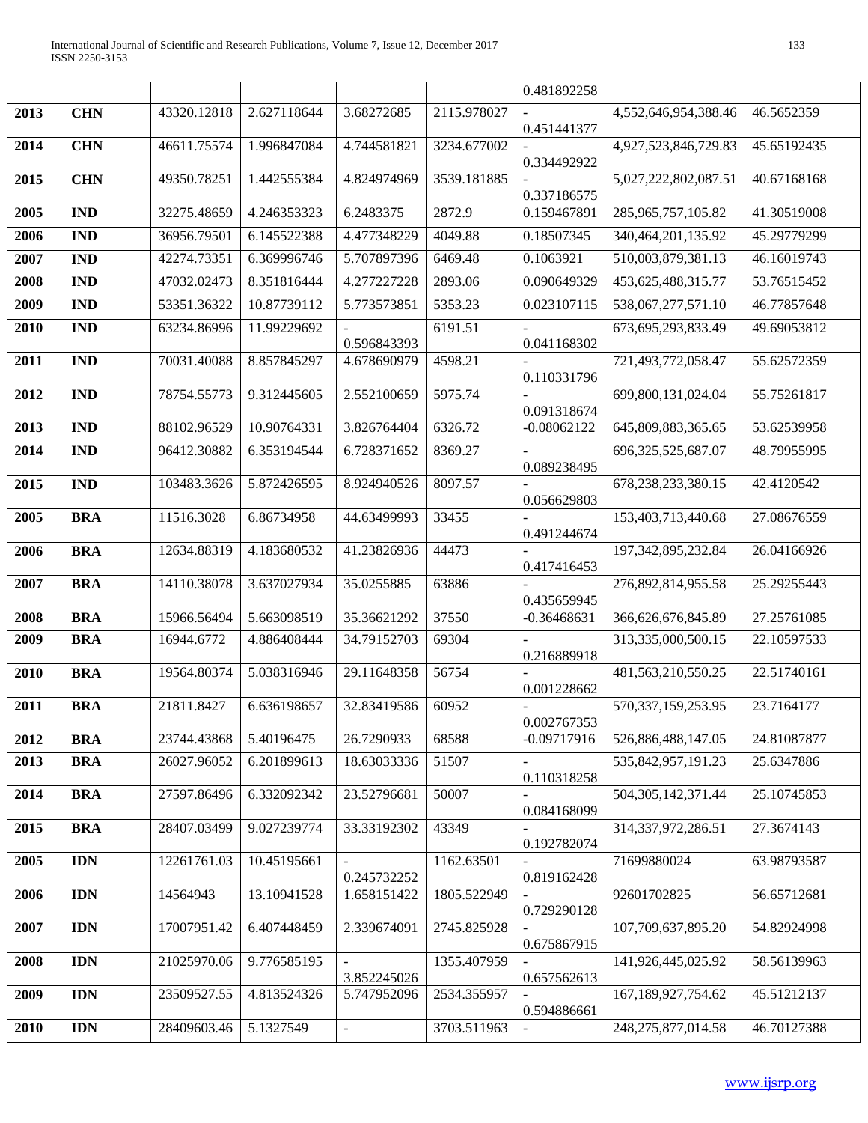|      |            |             |             |                               |             | 0.481892258                  |                        |             |
|------|------------|-------------|-------------|-------------------------------|-------------|------------------------------|------------------------|-------------|
| 2013 | <b>CHN</b> | 43320.12818 | 2.627118644 | 3.68272685                    | 2115.978027 | 0.451441377                  | 4,552,646,954,388.46   | 46.5652359  |
| 2014 | <b>CHN</b> | 46611.75574 | 1.996847084 | 4.744581821                   | 3234.677002 | 0.334492922                  | 4,927,523,846,729.83   | 45.65192435 |
| 2015 | <b>CHN</b> | 49350.78251 | 1.442555384 | 4.824974969                   | 3539.181885 | 0.337186575                  | 5,027,222,802,087.51   | 40.67168168 |
| 2005 | <b>IND</b> | 32275.48659 | 4.246353323 | 6.2483375                     | 2872.9      | 0.159467891                  | 285,965,757,105.82     | 41.30519008 |
| 2006 | <b>IND</b> | 36956.79501 | 6.145522388 | 4.477348229                   | 4049.88     | 0.18507345                   | 340, 464, 201, 135. 92 | 45.29779299 |
| 2007 | <b>IND</b> | 42274.73351 | 6.369996746 | 5.707897396                   | 6469.48     | 0.1063921                    | 510,003,879,381.13     | 46.16019743 |
| 2008 | <b>IND</b> | 47032.02473 | 8.351816444 | 4.277227228                   | 2893.06     | 0.090649329                  | 453,625,488,315.77     | 53.76515452 |
| 2009 | <b>IND</b> | 53351.36322 | 10.87739112 | 5.773573851                   | 5353.23     | 0.023107115                  | 538,067,277,571.10     | 46.77857648 |
| 2010 | <b>IND</b> | 63234.86996 | 11.99229692 | 0.596843393                   | 6191.51     | 0.041168302                  | 673, 695, 293, 833. 49 | 49.69053812 |
| 2011 | <b>IND</b> | 70031.40088 | 8.857845297 | 4.678690979                   | 4598.21     | 0.110331796                  | 721,493,772,058.47     | 55.62572359 |
| 2012 | <b>IND</b> | 78754.55773 | 9.312445605 | 2.552100659                   | 5975.74     |                              | 699,800,131,024.04     | 55.75261817 |
| 2013 | <b>IND</b> | 88102.96529 | 10.90764331 | 3.826764404                   | 6326.72     | 0.091318674<br>$-0.08062122$ | 645,809,883,365.65     | 53.62539958 |
| 2014 | <b>IND</b> | 96412.30882 | 6.353194544 | 6.728371652                   | 8369.27     |                              | 696, 325, 525, 687.07  | 48.79955995 |
|      |            |             |             |                               |             | 0.089238495                  |                        |             |
| 2015 | <b>IND</b> | 103483.3626 | 5.872426595 | 8.924940526                   | 8097.57     | 0.056629803                  | 678,238,233,380.15     | 42.4120542  |
| 2005 | <b>BRA</b> | 11516.3028  | 6.86734958  | 44.63499993                   | 33455       | 0.491244674                  | 153,403,713,440.68     | 27.08676559 |
| 2006 | <b>BRA</b> | 12634.88319 | 4.183680532 | 41.23826936                   | 44473       | 0.417416453                  | 197, 342, 895, 232.84  | 26.04166926 |
| 2007 | <b>BRA</b> | 14110.38078 | 3.637027934 | 35.0255885                    | 63886       | 0.435659945                  | 276,892,814,955.58     | 25.29255443 |
| 2008 | <b>BRA</b> | 15966.56494 | 5.663098519 | 35.36621292                   | 37550       | $-0.36468631$                | 366,626,676,845.89     | 27.25761085 |
| 2009 | <b>BRA</b> | 16944.6772  | 4.886408444 | 34.79152703                   | 69304       | 0.216889918                  | 313,335,000,500.15     | 22.10597533 |
| 2010 | <b>BRA</b> | 19564.80374 | 5.038316946 | 29.11648358                   | 56754       | 0.001228662                  | 481,563,210,550.25     | 22.51740161 |
| 2011 | <b>BRA</b> | 21811.8427  | 6.636198657 | 32.83419586                   | 60952       | 0.002767353                  | 570,337,159,253.95     | 23.7164177  |
| 2012 | <b>BRA</b> | 23744.43868 | 5.40196475  | 26.7290933                    | 68588       | $-0.09717916$                | 526,886,488,147.05     | 24.81087877 |
| 2013 | <b>BRA</b> | 26027.96052 | 6.201899613 | 18.63033336                   | 51507       | 0.110318258                  | 535,842,957,191.23     | 25.6347886  |
| 2014 | <b>BRA</b> | 27597.86496 | 6.332092342 | 23.52796681                   | 50007       | 0.084168099                  | 504, 305, 142, 371. 44 | 25.10745853 |
| 2015 | <b>BRA</b> | 28407.03499 | 9.027239774 | 33.33192302                   | 43349       | 0.192782074                  | 314, 337, 972, 286.51  | 27.3674143  |
| 2005 | <b>IDN</b> | 12261761.03 | 10.45195661 | 0.245732252                   | 1162.63501  | 0.819162428                  | 71699880024            | 63.98793587 |
| 2006 | <b>IDN</b> | 14564943    | 13.10941528 | 1.658151422                   | 1805.522949 | 0.729290128                  | 92601702825            | 56.65712681 |
| 2007 | <b>IDN</b> | 17007951.42 | 6.407448459 | 2.339674091                   | 2745.825928 | 0.675867915                  | 107,709,637,895.20     | 54.82924998 |
| 2008 | <b>IDN</b> | 21025970.06 | 9.776585195 | $\blacksquare$<br>3.852245026 | 1355.407959 | 0.657562613                  | 141,926,445,025.92     | 58.56139963 |
| 2009 | <b>IDN</b> | 23509527.55 | 4.813524326 | 5.747952096                   | 2534.355957 | 0.594886661                  | 167, 189, 927, 754. 62 | 45.51212137 |
| 2010 | <b>IDN</b> | 28409603.46 | 5.1327549   | $\blacksquare$                | 3703.511963 |                              | 248,275,877,014.58     | 46.70127388 |
|      |            |             |             |                               |             |                              |                        |             |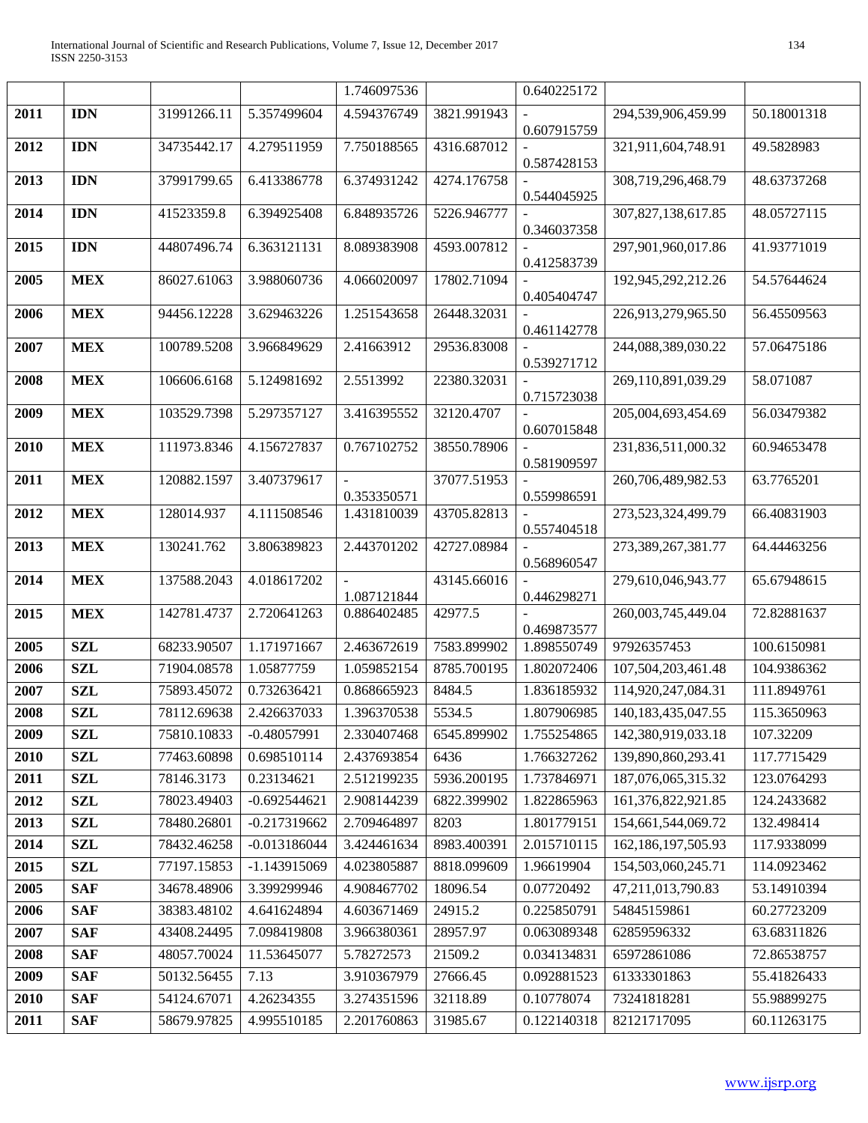|      |            |             |                | 1.746097536                |             | 0.640225172 |                        |             |
|------|------------|-------------|----------------|----------------------------|-------------|-------------|------------------------|-------------|
| 2011 | <b>IDN</b> | 31991266.11 | 5.357499604    | 4.594376749                | 3821.991943 |             | 294,539,906,459.99     | 50.18001318 |
| 2012 | <b>IDN</b> | 34735442.17 | 4.279511959    | 7.750188565                | 4316.687012 | 0.607915759 | 321,911,604,748.91     | 49.5828983  |
|      |            |             |                |                            |             | 0.587428153 |                        |             |
| 2013 | <b>IDN</b> | 37991799.65 | 6.413386778    | 6.374931242                | 4274.176758 |             | 308,719,296,468.79     | 48.63737268 |
| 2014 | <b>IDN</b> | 41523359.8  | 6.394925408    | 6.848935726                | 5226.946777 | 0.544045925 | 307,827,138,617.85     | 48.05727115 |
|      |            |             |                |                            |             | 0.346037358 |                        |             |
| 2015 | <b>IDN</b> | 44807496.74 | 6.363121131    | 8.089383908                | 4593.007812 |             | 297,901,960,017.86     | 41.93771019 |
| 2005 | <b>MEX</b> | 86027.61063 | 3.988060736    | 4.066020097                | 17802.71094 | 0.412583739 | 192,945,292,212.26     | 54.57644624 |
|      |            |             |                |                            |             | 0.405404747 |                        |             |
| 2006 | <b>MEX</b> | 94456.12228 | 3.629463226    | 1.251543658                | 26448.32031 |             | 226,913,279,965.50     | 56.45509563 |
| 2007 | <b>MEX</b> | 100789.5208 | 3.966849629    | 2.41663912                 | 29536.83008 | 0.461142778 | 244,088,389,030.22     | 57.06475186 |
|      |            |             |                |                            |             | 0.539271712 |                        |             |
| 2008 | <b>MEX</b> | 106606.6168 | 5.124981692    | 2.5513992                  | 22380.32031 |             | 269,110,891,039.29     | 58.071087   |
| 2009 | <b>MEX</b> | 103529.7398 | 5.297357127    | 3.416395552                | 32120.4707  | 0.715723038 | 205,004,693,454.69     | 56.03479382 |
|      |            |             |                |                            |             | 0.607015848 |                        |             |
| 2010 | <b>MEX</b> | 111973.8346 | 4.156727837    | 0.767102752                | 38550.78906 |             | 231,836,511,000.32     | 60.94653478 |
| 2011 | <b>MEX</b> | 120882.1597 | 3.407379617    |                            | 37077.51953 | 0.581909597 | 260,706,489,982.53     | 63.7765201  |
|      |            |             |                | 0.353350571                |             | 0.559986591 |                        |             |
| 2012 | <b>MEX</b> | 128014.937  | 4.111508546    | 1.431810039                | 43705.82813 |             | 273,523,324,499.79     | 66.40831903 |
| 2013 | <b>MEX</b> | 130241.762  | 3.806389823    | 2.443701202                | 42727.08984 | 0.557404518 | 273,389,267,381.77     | 64.44463256 |
|      |            |             |                |                            |             | 0.568960547 |                        |             |
| 2014 | <b>MEX</b> | 137588.2043 | 4.018617202    |                            | 43145.66016 |             | 279,610,046,943.77     | 65.67948615 |
| 2015 | <b>MEX</b> | 142781.4737 | 2.720641263    | 1.087121844<br>0.886402485 | 42977.5     | 0.446298271 | 260,003,745,449.04     | 72.82881637 |
|      |            |             |                |                            |             | 0.469873577 |                        |             |
| 2005 | <b>SZL</b> | 68233.90507 | 1.171971667    | 2.463672619                | 7583.899902 | 1.898550749 | 97926357453            | 100.6150981 |
| 2006 | <b>SZL</b> | 71904.08578 | 1.05877759     | 1.059852154                | 8785.700195 | 1.802072406 | 107,504,203,461.48     | 104.9386362 |
| 2007 | <b>SZL</b> | 75893.45072 | 0.732636421    | 0.868665923                | 8484.5      | 1.836185932 | 114,920,247,084.31     | 111.8949761 |
| 2008 | <b>SZL</b> | 78112.69638 | 2.426637033    | 1.396370538                | 5534.5      | 1.807906985 | 140, 183, 435, 047. 55 | 115.3650963 |
| 2009 | <b>SZL</b> | 75810.10833 | $-0.48057991$  | 2.330407468                | 6545.899902 | 1.755254865 | 142,380,919,033.18     | 107.32209   |
| 2010 | <b>SZL</b> | 77463.60898 | 0.698510114    | 2.437693854                | 6436        | 1.766327262 | 139,890,860,293.41     | 117.7715429 |
| 2011 | <b>SZL</b> | 78146.3173  | 0.23134621     | 2.512199235                | 5936.200195 | 1.737846971 | 187,076,065,315.32     | 123.0764293 |
| 2012 | <b>SZL</b> | 78023.49403 | $-0.692544621$ | 2.908144239                | 6822.399902 | 1.822865963 | 161,376,822,921.85     | 124.2433682 |
| 2013 | <b>SZL</b> | 78480.26801 | $-0.217319662$ | 2.709464897                | 8203        | 1.801779151 | 154,661,544,069.72     | 132.498414  |
| 2014 | <b>SZL</b> | 78432.46258 | $-0.013186044$ | 3.424461634                | 8983.400391 | 2.015710115 | 162, 186, 197, 505. 93 | 117.9338099 |
| 2015 | <b>SZL</b> | 77197.15853 | -1.143915069   | 4.023805887                | 8818.099609 | 1.96619904  | 154,503,060,245.71     | 114.0923462 |
| 2005 | <b>SAF</b> | 34678.48906 | 3.399299946    | 4.908467702                | 18096.54    | 0.07720492  | 47,211,013,790.83      | 53.14910394 |
| 2006 | <b>SAF</b> | 38383.48102 | 4.641624894    | 4.603671469                | 24915.2     | 0.225850791 | 54845159861            | 60.27723209 |
| 2007 | <b>SAF</b> | 43408.24495 | 7.098419808    | 3.966380361                | 28957.97    | 0.063089348 | 62859596332            | 63.68311826 |
| 2008 | <b>SAF</b> | 48057.70024 | 11.53645077    | 5.78272573                 | 21509.2     | 0.034134831 | 65972861086            | 72.86538757 |
| 2009 | <b>SAF</b> | 50132.56455 | 7.13           | 3.910367979                | 27666.45    | 0.092881523 | 61333301863            | 55.41826433 |
| 2010 | <b>SAF</b> | 54124.67071 | 4.26234355     | 3.274351596                | 32118.89    | 0.10778074  | 73241818281            | 55.98899275 |
| 2011 | <b>SAF</b> | 58679.97825 | 4.995510185    | 2.201760863                | 31985.67    | 0.122140318 | 82121717095            | 60.11263175 |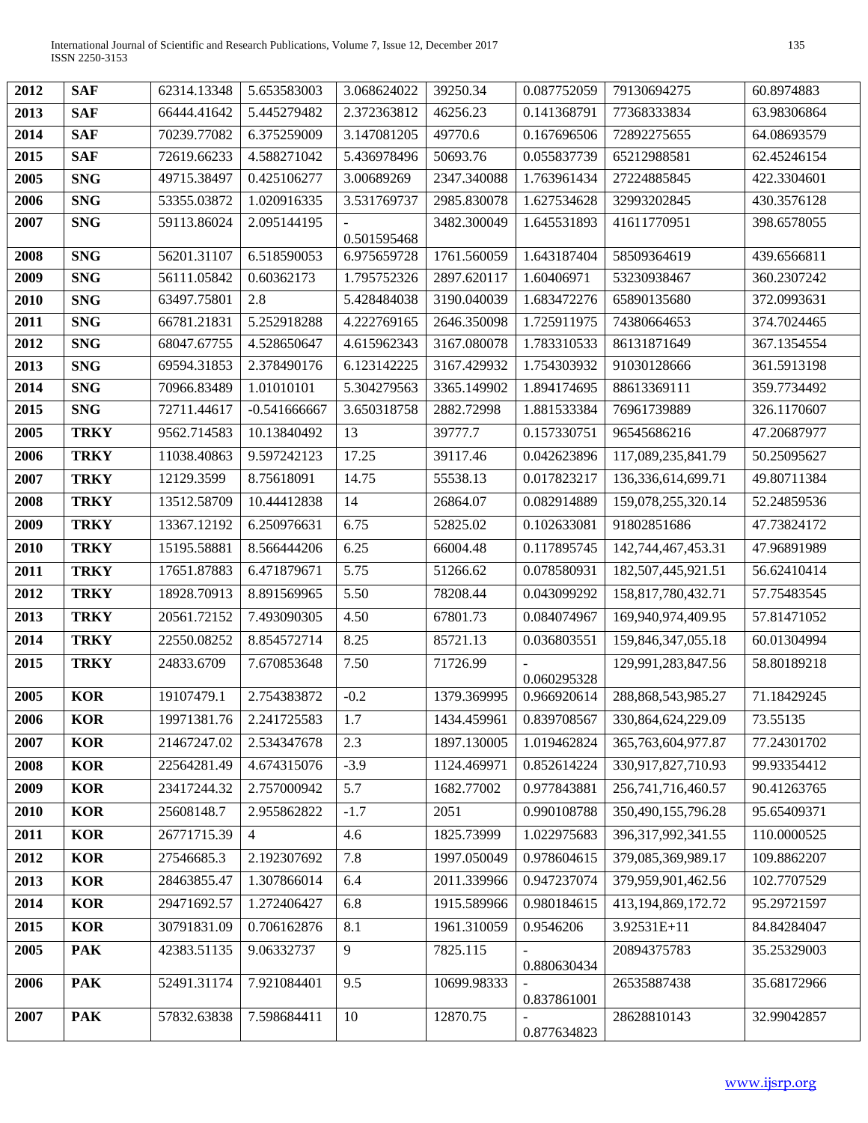| 2012 | <b>SAF</b>  | 62314.13348 | 5.653583003    | 3.068624022           | 39250.34    | 0.087752059             | 79130694275            | 60.8974883  |
|------|-------------|-------------|----------------|-----------------------|-------------|-------------------------|------------------------|-------------|
| 2013 | <b>SAF</b>  | 66444.41642 | 5.445279482    | 2.372363812           | 46256.23    | 0.141368791             | 77368333834            | 63.98306864 |
| 2014 | <b>SAF</b>  | 70239.77082 | 6.375259009    | 3.147081205           | 49770.6     | 0.167696506             | 72892275655            | 64.08693579 |
| 2015 | <b>SAF</b>  | 72619.66233 | 4.588271042    | 5.436978496           | 50693.76    | 0.055837739             | 65212988581            | 62.45246154 |
| 2005 | <b>SNG</b>  | 49715.38497 | 0.425106277    | 3.00689269            | 2347.340088 | 1.763961434             | 27224885845            | 422.3304601 |
| 2006 | <b>SNG</b>  | 53355.03872 | 1.020916335    | 3.531769737           | 2985.830078 | 1.627534628             | 32993202845            | 430.3576128 |
| 2007 | <b>SNG</b>  | 59113.86024 | 2.095144195    | $\sim$<br>0.501595468 | 3482.300049 | 1.645531893             | 41611770951            | 398.6578055 |
| 2008 | <b>SNG</b>  | 56201.31107 | 6.518590053    | 6.975659728           | 1761.560059 | 1.643187404             | 58509364619            | 439.6566811 |
| 2009 | <b>SNG</b>  | 56111.05842 | 0.60362173     | 1.795752326           | 2897.620117 | 1.60406971              | 53230938467            | 360.2307242 |
| 2010 | <b>SNG</b>  | 63497.75801 | 2.8            | 5.428484038           | 3190.040039 | 1.683472276             | 65890135680            | 372.0993631 |
| 2011 | <b>SNG</b>  | 66781.21831 | 5.252918288    | 4.222769165           | 2646.350098 | 1.725911975             | 74380664653            | 374.7024465 |
| 2012 | <b>SNG</b>  | 68047.67755 | 4.528650647    | 4.615962343           | 3167.080078 | 1.783310533             | 86131871649            | 367.1354554 |
| 2013 | <b>SNG</b>  | 69594.31853 | 2.378490176    | 6.123142225           | 3167.429932 | 1.754303932             | 91030128666            | 361.5913198 |
| 2014 | <b>SNG</b>  | 70966.83489 | 1.01010101     | 5.304279563           | 3365.149902 | 1.894174695             | 88613369111            | 359.7734492 |
| 2015 | <b>SNG</b>  | 72711.44617 | $-0.541666667$ | 3.650318758           | 2882.72998  | 1.881533384             | 76961739889            | 326.1170607 |
| 2005 | <b>TRKY</b> | 9562.714583 | 10.13840492    | 13                    | 39777.7     | 0.157330751             | 96545686216            | 47.20687977 |
| 2006 | <b>TRKY</b> | 11038.40863 | 9.597242123    | 17.25                 | 39117.46    | 0.042623896             | 117,089,235,841.79     | 50.25095627 |
| 2007 | <b>TRKY</b> | 12129.3599  | 8.75618091     | 14.75                 | 55538.13    | 0.017823217             | 136,336,614,699.71     | 49.80711384 |
| 2008 | <b>TRKY</b> | 13512.58709 | 10.44412838    | 14                    | 26864.07    | 0.082914889             | 159,078,255,320.14     | 52.24859536 |
| 2009 | <b>TRKY</b> | 13367.12192 | 6.250976631    | 6.75                  | 52825.02    | 0.102633081             | 91802851686            | 47.73824172 |
| 2010 | <b>TRKY</b> | 15195.58881 | 8.566444206    | 6.25                  | 66004.48    | 0.117895745             | 142,744,467,453.31     | 47.96891989 |
| 2011 | <b>TRKY</b> | 17651.87883 | 6.471879671    | 5.75                  | 51266.62    | 0.078580931             | 182,507,445,921.51     | 56.62410414 |
| 2012 | <b>TRKY</b> | 18928.70913 | 8.891569965    | 5.50                  | 78208.44    | 0.043099292             | 158,817,780,432.71     | 57.75483545 |
| 2013 | <b>TRKY</b> | 20561.72152 | 7.493090305    | 4.50                  | 67801.73    | 0.084074967             | 169,940,974,409.95     | 57.81471052 |
| 2014 | <b>TRKY</b> | 22550.08252 | 8.854572714    | 8.25                  | 85721.13    | 0.036803551             | 159,846,347,055.18     | 60.01304994 |
| 2015 | <b>TRKY</b> | 24833.6709  | 7.670853648    | 7.50                  | 71726.99    | 0.060295328             | 129,991,283,847.56     | 58.80189218 |
| 2005 | <b>KOR</b>  | 19107479.1  | 2.754383872    | $-0.2$                | 1379.369995 | 0.966920614             | 288, 868, 543, 985. 27 | 71.18429245 |
| 2006 | <b>KOR</b>  | 19971381.76 | 2.241725583    | 1.7                   |             | 1434.459961 0.839708567 | 330,864,624,229.09     | 73.55135    |
| 2007 | <b>KOR</b>  | 21467247.02 | 2.534347678    | 2.3                   | 1897.130005 | 1.019462824             | 365,763,604,977.87     | 77.24301702 |
| 2008 | <b>KOR</b>  | 22564281.49 | 4.674315076    | $-3.9$                | 1124.469971 | 0.852614224             | 330,917,827,710.93     | 99.93354412 |
| 2009 | <b>KOR</b>  | 23417244.32 | 2.757000942    | 5.7                   | 1682.77002  | 0.977843881             | 256, 741, 716, 460. 57 | 90.41263765 |
| 2010 | <b>KOR</b>  | 25608148.7  | 2.955862822    | $-1.7$                | 2051        | 0.990108788             | 350,490,155,796.28     | 95.65409371 |
| 2011 | <b>KOR</b>  | 26771715.39 | $\overline{4}$ | 4.6                   | 1825.73999  | 1.022975683             | 396, 317, 992, 341.55  | 110.0000525 |
| 2012 | <b>KOR</b>  | 27546685.3  | 2.192307692    | 7.8                   | 1997.050049 | 0.978604615             | 379,085,369,989.17     | 109.8862207 |
| 2013 | <b>KOR</b>  | 28463855.47 | 1.307866014    | 6.4                   | 2011.339966 | 0.947237074             | 379,959,901,462.56     | 102.7707529 |
| 2014 | <b>KOR</b>  | 29471692.57 | 1.272406427    | 6.8                   | 1915.589966 | 0.980184615             | 413,194,869,172.72     | 95.29721597 |
| 2015 | <b>KOR</b>  | 30791831.09 | 0.706162876    | 8.1                   | 1961.310059 | 0.9546206               | 3.92531E+11            | 84.84284047 |
| 2005 | <b>PAK</b>  | 42383.51135 | 9.06332737     | 9                     | 7825.115    |                         | 20894375783            | 35.25329003 |
|      |             |             |                |                       |             | 0.880630434             |                        |             |
| 2006 | <b>PAK</b>  | 52491.31174 | 7.921084401    | 9.5                   | 10699.98333 | 0.837861001             | 26535887438            | 35.68172966 |
| 2007 | <b>PAK</b>  | 57832.63838 | 7.598684411    | 10                    | 12870.75    |                         | 28628810143            | 32.99042857 |
|      |             |             |                |                       |             | 0.877634823             |                        |             |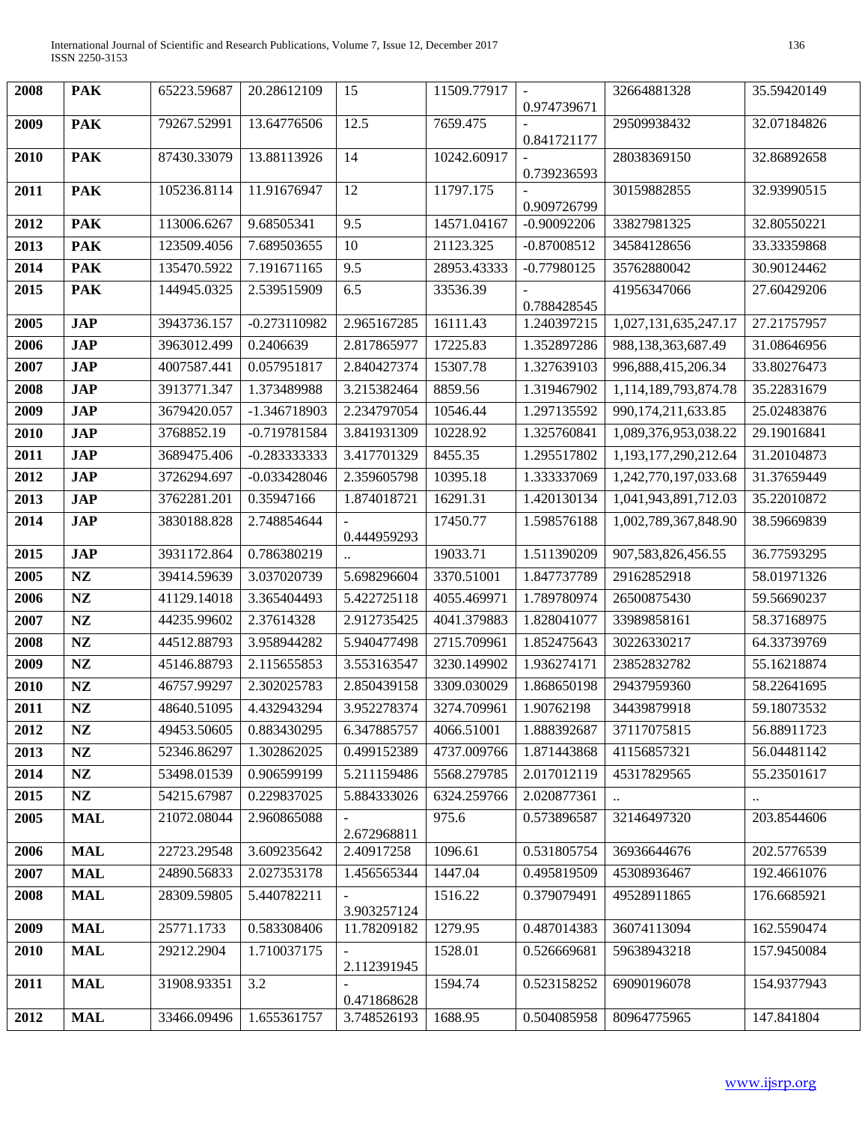| 2008 | <b>PAK</b>    | 65223.59687 | 20.28612109    | 15          | 11509.77917 | 0.974739671   | 32664881328          | 35.59420149 |
|------|---------------|-------------|----------------|-------------|-------------|---------------|----------------------|-------------|
| 2009 | <b>PAK</b>    | 79267.52991 | 13.64776506    | 12.5        | 7659.475    | 0.841721177   | 29509938432          | 32.07184826 |
| 2010 | <b>PAK</b>    | 87430.33079 | 13.88113926    | 14          | 10242.60917 | 0.739236593   | 28038369150          | 32.86892658 |
| 2011 | <b>PAK</b>    | 105236.8114 | 11.91676947    | 12          | 11797.175   | 0.909726799   | 30159882855          | 32.93990515 |
| 2012 | <b>PAK</b>    | 113006.6267 | 9.68505341     | 9.5         | 14571.04167 | $-0.90092206$ | 33827981325          | 32.80550221 |
| 2013 | <b>PAK</b>    | 123509.4056 | 7.689503655    | 10          | 21123.325   | $-0.87008512$ | 34584128656          | 33.33359868 |
| 2014 | <b>PAK</b>    | 135470.5922 | 7.191671165    | 9.5         | 28953.43333 | $-0.77980125$ | 35762880042          | 30.90124462 |
| 2015 | <b>PAK</b>    | 144945.0325 | 2.539515909    | 6.5         | 33536.39    | 0.788428545   | 41956347066          | 27.60429206 |
| 2005 | <b>JAP</b>    | 3943736.157 | $-0.273110982$ | 2.965167285 | 16111.43    | 1.240397215   | 1,027,131,635,247.17 | 27.21757957 |
| 2006 | <b>JAP</b>    | 3963012.499 | 0.2406639      | 2.817865977 | 17225.83    | 1.352897286   | 988,138,363,687.49   | 31.08646956 |
| 2007 | <b>JAP</b>    | 4007587.441 | 0.057951817    | 2.840427374 | 15307.78    | 1.327639103   | 996,888,415,206.34   | 33.80276473 |
| 2008 | <b>JAP</b>    | 3913771.347 | 1.373489988    | 3.215382464 | 8859.56     | 1.319467902   | 1,114,189,793,874.78 | 35.22831679 |
| 2009 | <b>JAP</b>    | 3679420.057 | -1.346718903   | 2.234797054 | 10546.44    | 1.297135592   | 990,174,211,633.85   | 25.02483876 |
| 2010 | <b>JAP</b>    | 3768852.19  | $-0.719781584$ | 3.841931309 | 10228.92    | 1.325760841   | 1,089,376,953,038.22 | 29.19016841 |
| 2011 | <b>JAP</b>    | 3689475.406 | $-0.283333333$ | 3.417701329 | 8455.35     | 1.295517802   | 1,193,177,290,212.64 | 31.20104873 |
| 2012 | <b>JAP</b>    | 3726294.697 | $-0.033428046$ | 2.359605798 | 10395.18    | 1.333337069   | 1,242,770,197,033.68 | 31.37659449 |
| 2013 | <b>JAP</b>    | 3762281.201 | 0.35947166     | 1.874018721 | 16291.31    | 1.420130134   | 1,041,943,891,712.03 | 35.22010872 |
| 2014 | <b>JAP</b>    | 3830188.828 | 2.748854644    | 0.444959293 | 17450.77    | 1.598576188   | 1,002,789,367,848.90 | 38.59669839 |
| 2015 | <b>JAP</b>    | 3931172.864 | 0.786380219    |             | 19033.71    | 1.511390209   | 907,583,826,456.55   | 36.77593295 |
| 2005 | NZ            | 39414.59639 | 3.037020739    | 5.698296604 | 3370.51001  | 1.847737789   | 29162852918          | 58.01971326 |
| 2006 | NZ            | 41129.14018 | 3.365404493    | 5.422725118 | 4055.469971 | 1.789780974   | 26500875430          | 59.56690237 |
| 2007 | NZ            | 44235.99602 | 2.37614328     | 2.912735425 | 4041.379883 | 1.828041077   | 33989858161          | 58.37168975 |
| 2008 | $\mathbf{NZ}$ | 44512.88793 | 3.958944282    | 5.940477498 | 2715.709961 | 1.852475643   | 30226330217          | 64.33739769 |
| 2009 | $\mathbf{NZ}$ | 45146.88793 | 2.115655853    | 3.553163547 | 3230.149902 | 1.936274171   | 23852832782          | 55.16218874 |
| 2010 | NZ            | 46757.99297 | 2.302025783    | 2.850439158 | 3309.030029 | 1.868650198   | 29437959360          | 58.22641695 |
| 2011 | NZ            | 48640.51095 | 4.432943294    | 3.952278374 | 3274.709961 | 1.90762198    | 34439879918          | 59.18073532 |
| 2012 | NZ            | 49453.50605 | 0.883430295    | 6.347885757 | 4066.51001  | 1.888392687   | 37117075815          | 56.88911723 |
| 2013 | NZ            | 52346.86297 | 1.302862025    | 0.499152389 | 4737.009766 | 1.871443868   | 41156857321          | 56.04481142 |
| 2014 | NZ            | 53498.01539 | 0.906599199    | 5.211159486 | 5568.279785 | 2.017012119   | 45317829565          | 55.23501617 |
| 2015 | NZ            | 54215.67987 | 0.229837025    | 5.884333026 | 6324.259766 | 2.020877361   |                      |             |
| 2005 | <b>MAL</b>    | 21072.08044 | 2.960865088    | 2.672968811 | 975.6       | 0.573896587   | 32146497320          | 203.8544606 |
| 2006 | <b>MAL</b>    | 22723.29548 | 3.609235642    | 2.40917258  | 1096.61     | 0.531805754   | 36936644676          | 202.5776539 |
| 2007 | <b>MAL</b>    | 24890.56833 | 2.027353178    | 1.456565344 | 1447.04     | 0.495819509   | 45308936467          | 192.4661076 |
| 2008 | <b>MAL</b>    | 28309.59805 | 5.440782211    | 3.903257124 | 1516.22     | 0.379079491   | 49528911865          | 176.6685921 |
| 2009 | <b>MAL</b>    | 25771.1733  | 0.583308406    | 11.78209182 | 1279.95     | 0.487014383   | 36074113094          | 162.5590474 |
| 2010 | <b>MAL</b>    | 29212.2904  | 1.710037175    | 2.112391945 | 1528.01     | 0.526669681   | 59638943218          | 157.9450084 |
| 2011 | <b>MAL</b>    | 31908.93351 | 3.2            | 0.471868628 | 1594.74     | 0.523158252   | 69090196078          | 154.9377943 |
| 2012 | <b>MAL</b>    | 33466.09496 | 1.655361757    | 3.748526193 | 1688.95     | 0.504085958   | 80964775965          | 147.841804  |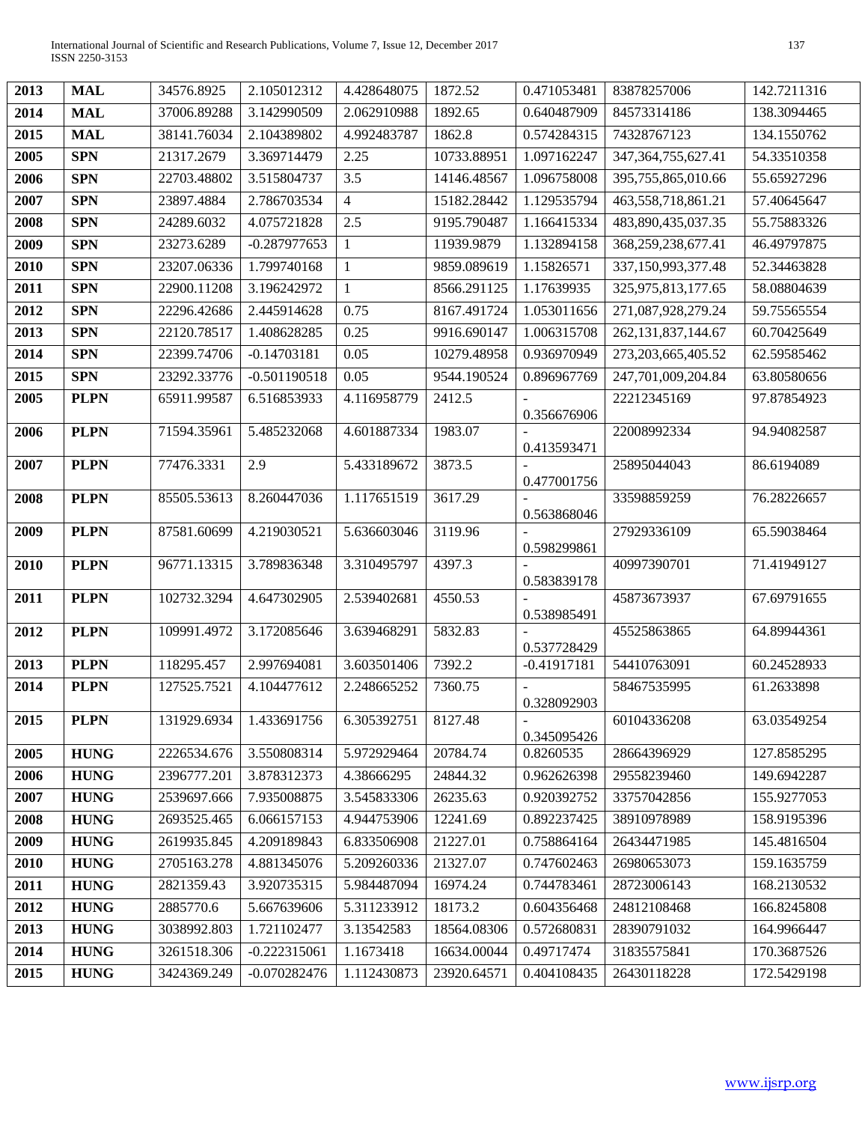| 2013 | <b>MAL</b>  | 34576.8925  | 2.105012312    | 4.428648075    | 1872.52     | 0.471053481   | 83878257006            | 142.7211316 |
|------|-------------|-------------|----------------|----------------|-------------|---------------|------------------------|-------------|
| 2014 | <b>MAL</b>  | 37006.89288 | 3.142990509    | 2.062910988    | 1892.65     | 0.640487909   | 84573314186            | 138.3094465 |
| 2015 | <b>MAL</b>  | 38141.76034 | 2.104389802    | 4.992483787    | 1862.8      | 0.574284315   | 74328767123            | 134.1550762 |
| 2005 | <b>SPN</b>  | 21317.2679  | 3.369714479    | 2.25           | 10733.88951 | 1.097162247   | 347, 364, 755, 627. 41 | 54.33510358 |
| 2006 | <b>SPN</b>  | 22703.48802 | 3.515804737    | 3.5            | 14146.48567 | 1.096758008   | 395,755,865,010.66     | 55.65927296 |
| 2007 | <b>SPN</b>  | 23897.4884  | 2.786703534    | $\overline{4}$ | 15182.28442 | 1.129535794   | 463,558,718,861.21     | 57.40645647 |
| 2008 | <b>SPN</b>  | 24289.6032  | 4.075721828    | 2.5            | 9195.790487 | 1.166415334   | 483,890,435,037.35     | 55.75883326 |
| 2009 | <b>SPN</b>  | 23273.6289  | $-0.287977653$ | 1              | 11939.9879  | 1.132894158   | 368,259,238,677.41     | 46.49797875 |
| 2010 | <b>SPN</b>  | 23207.06336 | 1.799740168    | $\mathbf{1}$   | 9859.089619 | 1.15826571    | 337,150,993,377.48     | 52.34463828 |
| 2011 | <b>SPN</b>  | 22900.11208 | 3.196242972    | $\mathbf{1}$   | 8566.291125 | 1.17639935    | 325,975,813,177.65     | 58.08804639 |
| 2012 | <b>SPN</b>  | 22296.42686 | 2.445914628    | 0.75           | 8167.491724 | 1.053011656   | 271,087,928,279.24     | 59.75565554 |
| 2013 | <b>SPN</b>  | 22120.78517 | 1.408628285    | 0.25           | 9916.690147 | 1.006315708   | 262, 131, 837, 144. 67 | 60.70425649 |
| 2014 | <b>SPN</b>  | 22399.74706 | $-0.14703181$  | 0.05           | 10279.48958 | 0.936970949   | 273, 203, 665, 405.52  | 62.59585462 |
| 2015 | <b>SPN</b>  | 23292.33776 | $-0.501190518$ | 0.05           | 9544.190524 | 0.896967769   | 247,701,009,204.84     | 63.80580656 |
| 2005 | <b>PLPN</b> | 65911.99587 | 6.516853933    | 4.116958779    | 2412.5      |               | 22212345169            | 97.87854923 |
| 2006 | <b>PLPN</b> | 71594.35961 | 5.485232068    | 4.601887334    | 1983.07     | 0.356676906   | 22008992334            | 94.94082587 |
|      |             |             |                |                |             | 0.413593471   |                        |             |
| 2007 | <b>PLPN</b> | 77476.3331  | 2.9            | 5.433189672    | 3873.5      |               | 25895044043            | 86.6194089  |
| 2008 | <b>PLPN</b> | 85505.53613 | 8.260447036    | 1.117651519    | 3617.29     | 0.477001756   | 33598859259            | 76.28226657 |
|      |             |             |                |                |             | 0.563868046   |                        |             |
| 2009 | <b>PLPN</b> | 87581.60699 | 4.219030521    | 5.636603046    | 3119.96     |               | 27929336109            | 65.59038464 |
| 2010 | <b>PLPN</b> | 96771.13315 | 3.789836348    | 3.310495797    | 4397.3      | 0.598299861   | 40997390701            | 71.41949127 |
|      |             |             |                |                |             | 0.583839178   |                        |             |
| 2011 | <b>PLPN</b> | 102732.3294 | 4.647302905    | 2.539402681    | 4550.53     | 0.538985491   | 45873673937            | 67.69791655 |
| 2012 | <b>PLPN</b> | 109991.4972 | 3.172085646    | 3.639468291    | 5832.83     |               | 45525863865            | 64.89944361 |
|      |             |             |                |                |             | 0.537728429   |                        |             |
| 2013 | <b>PLPN</b> | 118295.457  | 2.997694081    | 3.603501406    | 7392.2      | $-0.41917181$ | 54410763091            | 60.24528933 |
| 2014 | <b>PLPN</b> | 127525.7521 | 4.104477612    | 2.248665252    | 7360.75     | 0.328092903   | 58467535995            | 61.2633898  |
| 2015 | <b>PLPN</b> | 131929.6934 | 1.433691756    | 6.305392751    | 8127.48     |               | 60104336208            | 63.03549254 |
|      |             |             |                |                |             | 0.345095426   |                        |             |
| 2005 | <b>HUNG</b> | 2226534.676 | 3.550808314    | 5.972929464    | 20784.74    | 0.8260535     | 28664396929            | 127.8585295 |
| 2006 | <b>HUNG</b> | 2396777.201 | 3.878312373    | 4.38666295     | 24844.32    | 0.962626398   | 29558239460            | 149.6942287 |
| 2007 | <b>HUNG</b> | 2539697.666 | 7.935008875    | 3.545833306    | 26235.63    | 0.920392752   | 33757042856            | 155.9277053 |
| 2008 | <b>HUNG</b> | 2693525.465 | 6.066157153    | 4.944753906    | 12241.69    | 0.892237425   | 38910978989            | 158.9195396 |
| 2009 | <b>HUNG</b> | 2619935.845 | 4.209189843    | 6.833506908    | 21227.01    | 0.758864164   | 26434471985            | 145.4816504 |
| 2010 | <b>HUNG</b> | 2705163.278 | 4.881345076    | 5.209260336    | 21327.07    | 0.747602463   | 26980653073            | 159.1635759 |
| 2011 | <b>HUNG</b> | 2821359.43  | 3.920735315    | 5.984487094    | 16974.24    | 0.744783461   | 28723006143            | 168.2130532 |
| 2012 | <b>HUNG</b> | 2885770.6   | 5.667639606    | 5.311233912    | 18173.2     | 0.604356468   | 24812108468            | 166.8245808 |
| 2013 | <b>HUNG</b> | 3038992.803 | 1.721102477    | 3.13542583     | 18564.08306 | 0.572680831   | 28390791032            | 164.9966447 |
| 2014 | <b>HUNG</b> | 3261518.306 | $-0.222315061$ | 1.1673418      | 16634.00044 | 0.49717474    | 31835575841            | 170.3687526 |
| 2015 | <b>HUNG</b> | 3424369.249 | $-0.070282476$ | 1.112430873    | 23920.64571 | 0.404108435   | 26430118228            | 172.5429198 |